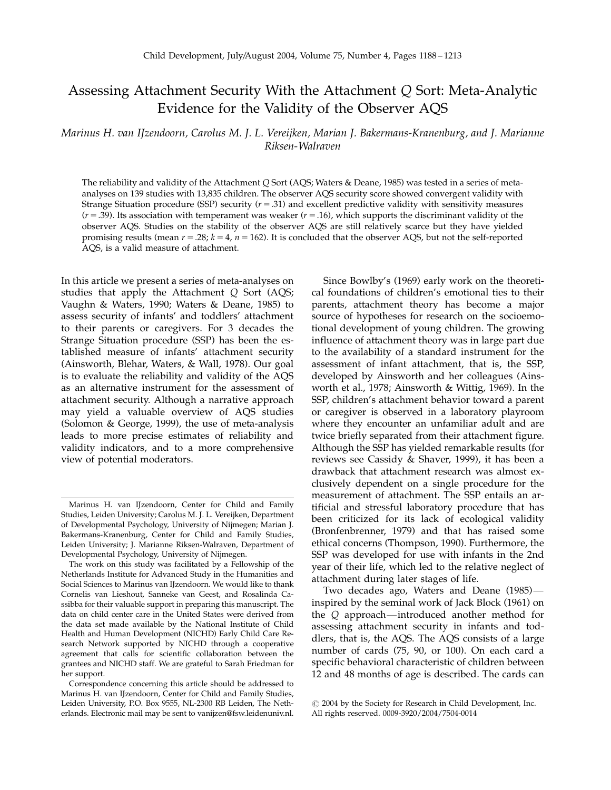# Assessing Attachment Security With the Attachment Q Sort: Meta-Analytic Evidence for the Validity of the Observer AQS

## Marinus H. van IJzendoorn, Carolus M. J. L. Vereijken, Marian J. Bakermans-Kranenburg, and J. Marianne Riksen-Walraven

The reliability and validity of the Attachment Q Sort (AQS; Waters & Deane, 1985) was tested in a series of metaanalyses on 139 studies with 13,835 children. The observer AQS security score showed convergent validity with Strange Situation procedure (SSP) security  $(r = .31)$  and excellent predictive validity with sensitivity measures  $(r = .39)$ . Its association with temperament was weaker  $(r = .16)$ , which supports the discriminant validity of the observer AQS. Studies on the stability of the observer AQS are still relatively scarce but they have yielded promising results (mean  $r = .28$ ;  $k = 4$ ,  $n = 162$ ). It is concluded that the observer AQS, but not the self-reported AQS, is a valid measure of attachment.

In this article we present a series of meta-analyses on studies that apply the Attachment Q Sort (AQS; Vaughn & Waters, 1990; Waters & Deane, 1985) to assess security of infants' and toddlers' attachment to their parents or caregivers. For 3 decades the Strange Situation procedure (SSP) has been the established measure of infants' attachment security (Ainsworth, Blehar, Waters, & Wall, 1978). Our goal is to evaluate the reliability and validity of the AQS as an alternative instrument for the assessment of attachment security. Although a narrative approach may yield a valuable overview of AQS studies (Solomon & George, 1999), the use of meta-analysis leads to more precise estimates of reliability and validity indicators, and to a more comprehensive view of potential moderators.

Since Bowlby's (1969) early work on the theoretical foundations of children's emotional ties to their parents, attachment theory has become a major source of hypotheses for research on the socioemotional development of young children. The growing influence of attachment theory was in large part due to the availability of a standard instrument for the assessment of infant attachment, that is, the SSP, developed by Ainsworth and her colleagues (Ainsworth et al., 1978; Ainsworth & Wittig, 1969). In the SSP, children's attachment behavior toward a parent or caregiver is observed in a laboratory playroom where they encounter an unfamiliar adult and are twice briefly separated from their attachment figure. Although the SSP has yielded remarkable results (for reviews see Cassidy & Shaver, 1999), it has been a drawback that attachment research was almost exclusively dependent on a single procedure for the measurement of attachment. The SSP entails an artificial and stressful laboratory procedure that has been criticized for its lack of ecological validity (Bronfenbrenner, 1979) and that has raised some ethical concerns (Thompson, 1990). Furthermore, the SSP was developed for use with infants in the 2nd year of their life, which led to the relative neglect of attachment during later stages of life.

Two decades ago, Waters and Deane  $(1985)$  inspired by the seminal work of Jack Block (1961) on the  $Q$  approach—introduced another method for assessing attachment security in infants and toddlers, that is, the AQS. The AQS consists of a large number of cards (75, 90, or 100). On each card a specific behavioral characteristic of children between 12 and 48 months of age is described. The cards can

Marinus H. van IJzendoorn, Center for Child and Family Studies, Leiden University; Carolus M. J. L. Vereijken, Department of Developmental Psychology, University of Nijmegen; Marian J. Bakermans-Kranenburg, Center for Child and Family Studies, Leiden University; J. Marianne Riksen-Walraven, Department of Developmental Psychology, University of Nijmegen.

The work on this study was facilitated by a Fellowship of the Netherlands Institute for Advanced Study in the Humanities and Social Sciences to Marinus van IJzendoorn. We would like to thank Cornelis van Lieshout, Sanneke van Geest, and Rosalinda Cassibba for their valuable support in preparing this manuscript. The data on child center care in the United States were derived from the data set made available by the National Institute of Child Health and Human Development (NICHD) Early Child Care Research Network supported by NICHD through a cooperative agreement that calls for scientific collaboration between the grantees and NICHD staff. We are grateful to Sarah Friedman for her support.

Correspondence concerning this article should be addressed to Marinus H. van IJzendoorn, Center for Child and Family Studies, Leiden University, P.O. Box 9555, NL-2300 RB Leiden, The Netherlands. Electronic mail may be sent to vanijzen@fsw.leidenuniv.nl.

 $\circ$  2004 by the Society for Research in Child Development, Inc. All rights reserved. 0009-3920/2004/7504-0014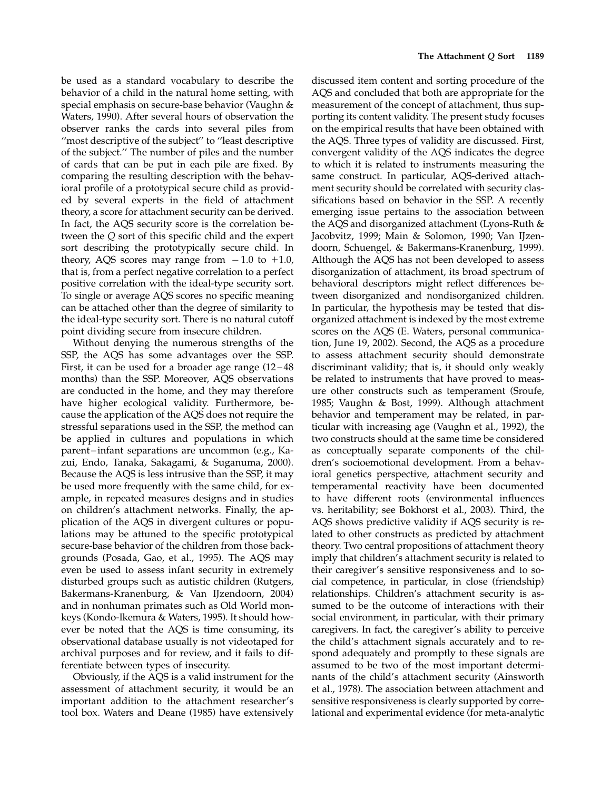be used as a standard vocabulary to describe the behavior of a child in the natural home setting, with special emphasis on secure-base behavior (Vaughn & Waters, 1990). After several hours of observation the observer ranks the cards into several piles from ''most descriptive of the subject'' to ''least descriptive of the subject.'' The number of piles and the number of cards that can be put in each pile are fixed. By comparing the resulting description with the behavioral profile of a prototypical secure child as provided by several experts in the field of attachment theory, a score for attachment security can be derived. In fact, the AQS security score is the correlation between the Q sort of this specific child and the expert sort describing the prototypically secure child. In theory, AQS scores may range from  $-1.0$  to  $+1.0$ , that is, from a perfect negative correlation to a perfect positive correlation with the ideal-type security sort. To single or average AQS scores no specific meaning can be attached other than the degree of similarity to the ideal-type security sort. There is no natural cutoff point dividing secure from insecure children.

Without denying the numerous strengths of the SSP, the AQS has some advantages over the SSP. First, it can be used for a broader age range  $(12-48)$ months) than the SSP. Moreover, AQS observations are conducted in the home, and they may therefore have higher ecological validity. Furthermore, because the application of the AQS does not require the stressful separations used in the SSP, the method can be applied in cultures and populations in which parent –infant separations are uncommon (e.g., Kazui, Endo, Tanaka, Sakagami, & Suganuma, 2000). Because the AQS is less intrusive than the SSP, it may be used more frequently with the same child, for example, in repeated measures designs and in studies on children's attachment networks. Finally, the application of the AQS in divergent cultures or populations may be attuned to the specific prototypical secure-base behavior of the children from those backgrounds (Posada, Gao, et al., 1995). The AQS may even be used to assess infant security in extremely disturbed groups such as autistic children (Rutgers, Bakermans-Kranenburg, & Van IJzendoorn, 2004) and in nonhuman primates such as Old World monkeys (Kondo-Ikemura & Waters, 1995). It should however be noted that the AQS is time consuming, its observational database usually is not videotaped for archival purposes and for review, and it fails to differentiate between types of insecurity.

Obviously, if the AQS is a valid instrument for the assessment of attachment security, it would be an important addition to the attachment researcher's tool box. Waters and Deane (1985) have extensively

discussed item content and sorting procedure of the AQS and concluded that both are appropriate for the measurement of the concept of attachment, thus supporting its content validity. The present study focuses on the empirical results that have been obtained with the AQS. Three types of validity are discussed. First, convergent validity of the AQS indicates the degree to which it is related to instruments measuring the same construct. In particular, AQS-derived attachment security should be correlated with security classifications based on behavior in the SSP. A recently emerging issue pertains to the association between the AQS and disorganized attachment (Lyons-Ruth & Jacobvitz, 1999; Main & Solomon, 1990; Van IJzendoorn, Schuengel, & Bakermans-Kranenburg, 1999). Although the AQS has not been developed to assess disorganization of attachment, its broad spectrum of behavioral descriptors might reflect differences between disorganized and nondisorganized children. In particular, the hypothesis may be tested that disorganized attachment is indexed by the most extreme scores on the AQS (E. Waters, personal communication, June 19, 2002). Second, the AQS as a procedure to assess attachment security should demonstrate discriminant validity; that is, it should only weakly be related to instruments that have proved to measure other constructs such as temperament (Sroufe, 1985; Vaughn & Bost, 1999). Although attachment behavior and temperament may be related, in particular with increasing age (Vaughn et al., 1992), the two constructs should at the same time be considered as conceptually separate components of the children's socioemotional development. From a behavioral genetics perspective, attachment security and temperamental reactivity have been documented to have different roots (environmental influences vs. heritability; see Bokhorst et al., 2003). Third, the AQS shows predictive validity if AQS security is related to other constructs as predicted by attachment theory. Two central propositions of attachment theory imply that children's attachment security is related to their caregiver's sensitive responsiveness and to social competence, in particular, in close (friendship) relationships. Children's attachment security is assumed to be the outcome of interactions with their social environment, in particular, with their primary caregivers. In fact, the caregiver's ability to perceive the child's attachment signals accurately and to respond adequately and promptly to these signals are assumed to be two of the most important determinants of the child's attachment security (Ainsworth et al., 1978). The association between attachment and sensitive responsiveness is clearly supported by correlational and experimental evidence (for meta-analytic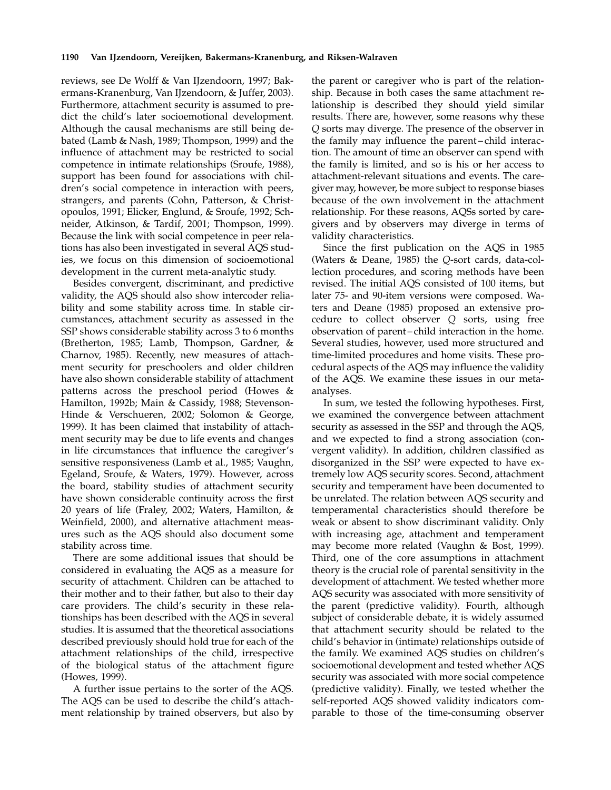reviews, see De Wolff & Van IJzendoorn, 1997; Bakermans-Kranenburg, Van IJzendoorn, & Juffer, 2003). Furthermore, attachment security is assumed to predict the child's later socioemotional development. Although the causal mechanisms are still being debated (Lamb & Nash, 1989; Thompson, 1999) and the influence of attachment may be restricted to social competence in intimate relationships (Sroufe, 1988), support has been found for associations with children's social competence in interaction with peers, strangers, and parents (Cohn, Patterson, & Christopoulos, 1991; Elicker, Englund, & Sroufe, 1992; Schneider, Atkinson, & Tardif, 2001; Thompson, 1999). Because the link with social competence in peer relations has also been investigated in several AQS studies, we focus on this dimension of socioemotional development in the current meta-analytic study.

Besides convergent, discriminant, and predictive validity, the AQS should also show intercoder reliability and some stability across time. In stable circumstances, attachment security as assessed in the SSP shows considerable stability across 3 to 6 months (Bretherton, 1985; Lamb, Thompson, Gardner, & Charnov, 1985). Recently, new measures of attachment security for preschoolers and older children have also shown considerable stability of attachment patterns across the preschool period (Howes & Hamilton, 1992b; Main & Cassidy, 1988; Stevenson-Hinde & Verschueren, 2002; Solomon & George, 1999). It has been claimed that instability of attachment security may be due to life events and changes in life circumstances that influence the caregiver's sensitive responsiveness (Lamb et al., 1985; Vaughn, Egeland, Sroufe, & Waters, 1979). However, across the board, stability studies of attachment security have shown considerable continuity across the first 20 years of life (Fraley, 2002; Waters, Hamilton, & Weinfield, 2000), and alternative attachment measures such as the AQS should also document some stability across time.

There are some additional issues that should be considered in evaluating the AQS as a measure for security of attachment. Children can be attached to their mother and to their father, but also to their day care providers. The child's security in these relationships has been described with the AQS in several studies. It is assumed that the theoretical associations described previously should hold true for each of the attachment relationships of the child, irrespective of the biological status of the attachment figure (Howes, 1999).

A further issue pertains to the sorter of the AQS. The AQS can be used to describe the child's attachment relationship by trained observers, but also by the parent or caregiver who is part of the relationship. Because in both cases the same attachment relationship is described they should yield similar results. There are, however, some reasons why these Q sorts may diverge. The presence of the observer in the family may influence the parent – child interaction. The amount of time an observer can spend with the family is limited, and so is his or her access to attachment-relevant situations and events. The caregiver may, however, be more subject to response biases because of the own involvement in the attachment relationship. For these reasons, AQSs sorted by caregivers and by observers may diverge in terms of validity characteristics.

Since the first publication on the AQS in 1985 (Waters & Deane, 1985) the Q-sort cards, data-collection procedures, and scoring methods have been revised. The initial AQS consisted of 100 items, but later 75- and 90-item versions were composed. Waters and Deane (1985) proposed an extensive procedure to collect observer Q sorts, using free observation of parent – child interaction in the home. Several studies, however, used more structured and time-limited procedures and home visits. These procedural aspects of the AQS may influence the validity of the AQS. We examine these issues in our metaanalyses.

In sum, we tested the following hypotheses. First, we examined the convergence between attachment security as assessed in the SSP and through the AQS, and we expected to find a strong association (convergent validity). In addition, children classified as disorganized in the SSP were expected to have extremely low AQS security scores. Second, attachment security and temperament have been documented to be unrelated. The relation between AQS security and temperamental characteristics should therefore be weak or absent to show discriminant validity. Only with increasing age, attachment and temperament may become more related (Vaughn & Bost, 1999). Third, one of the core assumptions in attachment theory is the crucial role of parental sensitivity in the development of attachment. We tested whether more AQS security was associated with more sensitivity of the parent (predictive validity). Fourth, although subject of considerable debate, it is widely assumed that attachment security should be related to the child's behavior in (intimate) relationships outside of the family. We examined AQS studies on children's socioemotional development and tested whether AQS security was associated with more social competence (predictive validity). Finally, we tested whether the self-reported AQS showed validity indicators comparable to those of the time-consuming observer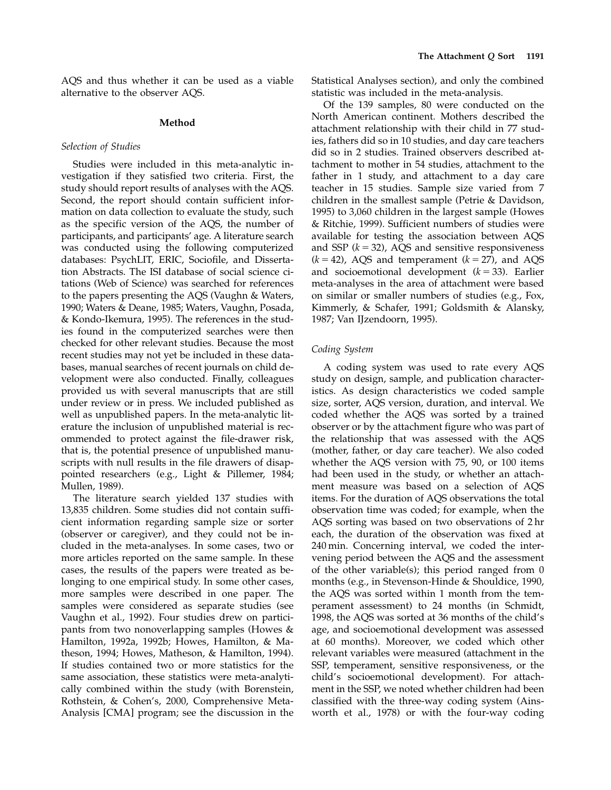AQS and thus whether it can be used as a viable alternative to the observer AQS.

#### Method

#### Selection of Studies

Studies were included in this meta-analytic investigation if they satisfied two criteria. First, the study should report results of analyses with the AQS. Second, the report should contain sufficient information on data collection to evaluate the study, such as the specific version of the AQS, the number of participants, and participants' age. A literature search was conducted using the following computerized databases: PsychLIT, ERIC, Sociofile, and Dissertation Abstracts. The ISI database of social science citations (Web of Science) was searched for references to the papers presenting the AQS (Vaughn & Waters, 1990; Waters & Deane, 1985; Waters, Vaughn, Posada, & Kondo-Ikemura, 1995). The references in the studies found in the computerized searches were then checked for other relevant studies. Because the most recent studies may not yet be included in these databases, manual searches of recent journals on child development were also conducted. Finally, colleagues provided us with several manuscripts that are still under review or in press. We included published as well as unpublished papers. In the meta-analytic literature the inclusion of unpublished material is recommended to protect against the file-drawer risk, that is, the potential presence of unpublished manuscripts with null results in the file drawers of disappointed researchers (e.g., Light & Pillemer, 1984; Mullen, 1989).

The literature search yielded 137 studies with 13,835 children. Some studies did not contain sufficient information regarding sample size or sorter (observer or caregiver), and they could not be included in the meta-analyses. In some cases, two or more articles reported on the same sample. In these cases, the results of the papers were treated as belonging to one empirical study. In some other cases, more samples were described in one paper. The samples were considered as separate studies (see Vaughn et al., 1992). Four studies drew on participants from two nonoverlapping samples (Howes & Hamilton, 1992a, 1992b; Howes, Hamilton, & Matheson, 1994; Howes, Matheson, & Hamilton, 1994). If studies contained two or more statistics for the same association, these statistics were meta-analytically combined within the study (with Borenstein, Rothstein, & Cohen's, 2000, Comprehensive Meta-Analysis [CMA] program; see the discussion in the

Statistical Analyses section), and only the combined statistic was included in the meta-analysis.

Of the 139 samples, 80 were conducted on the North American continent. Mothers described the attachment relationship with their child in 77 studies, fathers did so in 10 studies, and day care teachers did so in 2 studies. Trained observers described attachment to mother in 54 studies, attachment to the father in 1 study, and attachment to a day care teacher in 15 studies. Sample size varied from 7 children in the smallest sample (Petrie & Davidson, 1995) to 3,060 children in the largest sample (Howes & Ritchie, 1999). Sufficient numbers of studies were available for testing the association between AQS and SSP  $(k = 32)$ , AQS and sensitive responsiveness  $(k = 42)$ , AQS and temperament  $(k = 27)$ , and AQS and socioemotional development  $(k = 33)$ . Earlier meta-analyses in the area of attachment were based on similar or smaller numbers of studies (e.g., Fox, Kimmerly, & Schafer, 1991; Goldsmith & Alansky, 1987; Van IJzendoorn, 1995).

#### Coding System

A coding system was used to rate every AQS study on design, sample, and publication characteristics. As design characteristics we coded sample size, sorter, AQS version, duration, and interval. We coded whether the AQS was sorted by a trained observer or by the attachment figure who was part of the relationship that was assessed with the AQS (mother, father, or day care teacher). We also coded whether the AQS version with 75, 90, or 100 items had been used in the study, or whether an attachment measure was based on a selection of AQS items. For the duration of AQS observations the total observation time was coded; for example, when the AQS sorting was based on two observations of 2 hr each, the duration of the observation was fixed at 240 min. Concerning interval, we coded the intervening period between the AQS and the assessment of the other variable(s); this period ranged from 0 months (e.g., in Stevenson-Hinde & Shouldice, 1990, the AQS was sorted within 1 month from the temperament assessment) to 24 months (in Schmidt, 1998, the AQS was sorted at 36 months of the child's age, and socioemotional development was assessed at 60 months). Moreover, we coded which other relevant variables were measured (attachment in the SSP, temperament, sensitive responsiveness, or the child's socioemotional development). For attachment in the SSP, we noted whether children had been classified with the three-way coding system (Ainsworth et al., 1978) or with the four-way coding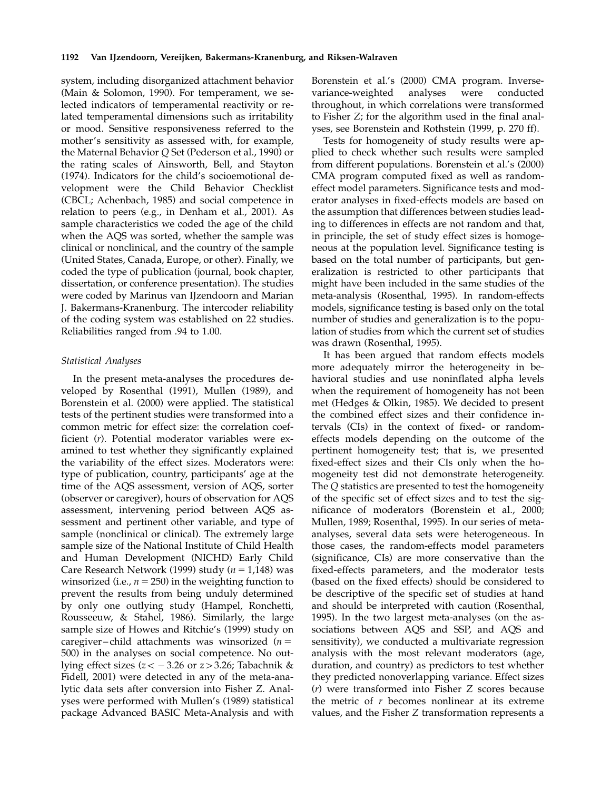system, including disorganized attachment behavior (Main & Solomon, 1990). For temperament, we selected indicators of temperamental reactivity or related temperamental dimensions such as irritability or mood. Sensitive responsiveness referred to the mother's sensitivity as assessed with, for example, the Maternal Behavior Q Set (Pederson et al., 1990) or the rating scales of Ainsworth, Bell, and Stayton (1974). Indicators for the child's socioemotional development were the Child Behavior Checklist (CBCL; Achenbach, 1985) and social competence in relation to peers (e.g., in Denham et al., 2001). As sample characteristics we coded the age of the child when the AQS was sorted, whether the sample was clinical or nonclinical, and the country of the sample (United States, Canada, Europe, or other). Finally, we coded the type of publication (journal, book chapter, dissertation, or conference presentation). The studies were coded by Marinus van IJzendoorn and Marian J. Bakermans-Kranenburg. The intercoder reliability of the coding system was established on 22 studies. Reliabilities ranged from .94 to 1.00.

#### Statistical Analyses

In the present meta-analyses the procedures developed by Rosenthal (1991), Mullen (1989), and Borenstein et al. (2000) were applied. The statistical tests of the pertinent studies were transformed into a common metric for effect size: the correlation coefficient (r). Potential moderator variables were examined to test whether they significantly explained the variability of the effect sizes. Moderators were: type of publication, country, participants' age at the time of the AQS assessment, version of AQS, sorter (observer or caregiver), hours of observation for AQS assessment, intervening period between AQS assessment and pertinent other variable, and type of sample (nonclinical or clinical). The extremely large sample size of the National Institute of Child Health and Human Development (NICHD) Early Child Care Research Network (1999) study ( $n = 1,148$ ) was winsorized (i.e.,  $n = 250$ ) in the weighting function to prevent the results from being unduly determined by only one outlying study (Hampel, Ronchetti, Rousseeuw, & Stahel, 1986). Similarly, the large sample size of Howes and Ritchie's (1999) study on caregiver-child attachments was winsorized  $(n =$ 500) in the analyses on social competence. No outlying effect sizes  $(z < -3.26$  or  $z > 3.26$ ; Tabachnik & Fidell, 2001) were detected in any of the meta-analytic data sets after conversion into Fisher Z. Analyses were performed with Mullen's (1989) statistical package Advanced BASIC Meta-Analysis and with

Borenstein et al.'s (2000) CMA program. Inversevariance-weighted analyses were conducted throughout, in which correlations were transformed to Fisher Z; for the algorithm used in the final analyses, see Borenstein and Rothstein (1999, p. 270 ff).

Tests for homogeneity of study results were applied to check whether such results were sampled from different populations. Borenstein et al.'s (2000) CMA program computed fixed as well as randomeffect model parameters. Significance tests and moderator analyses in fixed-effects models are based on the assumption that differences between studies leading to differences in effects are not random and that, in principle, the set of study effect sizes is homogeneous at the population level. Significance testing is based on the total number of participants, but generalization is restricted to other participants that might have been included in the same studies of the meta-analysis (Rosenthal, 1995). In random-effects models, significance testing is based only on the total number of studies and generalization is to the population of studies from which the current set of studies was drawn (Rosenthal, 1995).

It has been argued that random effects models more adequately mirror the heterogeneity in behavioral studies and use noninflated alpha levels when the requirement of homogeneity has not been met (Hedges & Olkin, 1985). We decided to present the combined effect sizes and their confidence intervals (CIs) in the context of fixed- or randomeffects models depending on the outcome of the pertinent homogeneity test; that is, we presented fixed-effect sizes and their CIs only when the homogeneity test did not demonstrate heterogeneity. The Q statistics are presented to test the homogeneity of the specific set of effect sizes and to test the significance of moderators (Borenstein et al., 2000; Mullen, 1989; Rosenthal, 1995). In our series of metaanalyses, several data sets were heterogeneous. In those cases, the random-effects model parameters (significance, CIs) are more conservative than the fixed-effects parameters, and the moderator tests (based on the fixed effects) should be considered to be descriptive of the specific set of studies at hand and should be interpreted with caution (Rosenthal, 1995). In the two largest meta-analyses (on the associations between AQS and SSP, and AQS and sensitivity), we conducted a multivariate regression analysis with the most relevant moderators (age, duration, and country) as predictors to test whether they predicted nonoverlapping variance. Effect sizes (r) were transformed into Fisher Z scores because the metric of  $r$  becomes nonlinear at its extreme values, and the Fisher Z transformation represents a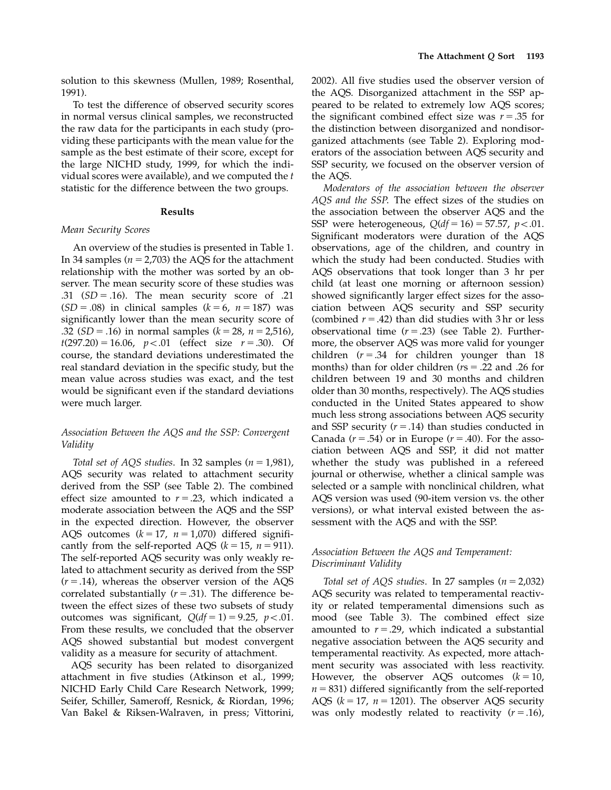solution to this skewness (Mullen, 1989; Rosenthal, 1991).

To test the difference of observed security scores in normal versus clinical samples, we reconstructed the raw data for the participants in each study (providing these participants with the mean value for the sample as the best estimate of their score, except for the large NICHD study, 1999, for which the individual scores were available), and we computed the  $t$ statistic for the difference between the two groups.

#### Results

#### Mean Security Scores

An overview of the studies is presented in Table 1. In 34 samples ( $n = 2,703$ ) the AQS for the attachment relationship with the mother was sorted by an observer. The mean security score of these studies was .31  $(SD = .16)$ . The mean security score of .21  $(SD = .08)$  in clinical samples  $(k = 6, n = 187)$  was significantly lower than the mean security score of .32 (SD = .16) in normal samples ( $k = 28$ ,  $n = 2,516$ ),  $t(297.20) = 16.06$ ,  $p < .01$  (effect size  $r = .30$ ). Of course, the standard deviations underestimated the real standard deviation in the specific study, but the mean value across studies was exact, and the test would be significant even if the standard deviations were much larger.

### Association Between the AQS and the SSP: Convergent Validity

Total set of AQS studies. In 32 samples  $(n = 1,981)$ , AQS security was related to attachment security derived from the SSP (see Table 2). The combined effect size amounted to  $r = .23$ , which indicated a moderate association between the AQS and the SSP in the expected direction. However, the observer AQS outcomes  $(k = 17, n = 1,070)$  differed significantly from the self-reported AQS ( $k = 15$ ,  $n = 911$ ). The self-reported AQS security was only weakly related to attachment security as derived from the SSP  $(r = .14)$ , whereas the observer version of the AQS correlated substantially  $(r=.31)$ . The difference between the effect sizes of these two subsets of study outcomes was significant,  $Q(df = 1) = 9.25$ ,  $p < .01$ . From these results, we concluded that the observer AQS showed substantial but modest convergent validity as a measure for security of attachment.

AQS security has been related to disorganized attachment in five studies (Atkinson et al., 1999; NICHD Early Child Care Research Network, 1999; Seifer, Schiller, Sameroff, Resnick, & Riordan, 1996; Van Bakel & Riksen-Walraven, in press; Vittorini, 2002). All five studies used the observer version of the AQS. Disorganized attachment in the SSP appeared to be related to extremely low AQS scores; the significant combined effect size was  $r = .35$  for the distinction between disorganized and nondisorganized attachments (see Table 2). Exploring moderators of the association between AQS security and SSP security, we focused on the observer version of the AQS.

Moderators of the association between the observer AQS and the SSP. The effect sizes of the studies on the association between the observer AQS and the SSP were heterogeneous,  $Q(df = 16) = 57.57$ ,  $p < .01$ . Significant moderators were duration of the AQS observations, age of the children, and country in which the study had been conducted. Studies with AQS observations that took longer than 3 hr per child (at least one morning or afternoon session) showed significantly larger effect sizes for the association between AQS security and SSP security (combined  $r = .42$ ) than did studies with 3 hr or less observational time  $(r=.23)$  (see Table 2). Furthermore, the observer AQS was more valid for younger children  $(r = .34)$  for children younger than 18 months) than for older children ( $rs = .22$  and .26 for children between 19 and 30 months and children older than 30 months, respectively). The AQS studies conducted in the United States appeared to show much less strong associations between AQS security and SSP security  $(r = .14)$  than studies conducted in Canada ( $r = .54$ ) or in Europe ( $r = .40$ ). For the association between AQS and SSP, it did not matter whether the study was published in a refereed journal or otherwise, whether a clinical sample was selected or a sample with nonclinical children, what AQS version was used (90-item version vs. the other versions), or what interval existed between the assessment with the AQS and with the SSP.

### Association Between the AQS and Temperament: Discriminant Validity

Total set of AQS studies. In 27 samples  $(n = 2,032)$ AQS security was related to temperamental reactivity or related temperamental dimensions such as mood (see Table 3). The combined effect size amounted to  $r = .29$ , which indicated a substantial negative association between the AQS security and temperamental reactivity. As expected, more attachment security was associated with less reactivity. However, the observer AQS outcomes  $(k = 10)$ ,  $n = 831$ ) differed significantly from the self-reported AQS ( $k = 17$ ,  $n = 1201$ ). The observer AQS security was only modestly related to reactivity  $(r = .16)$ ,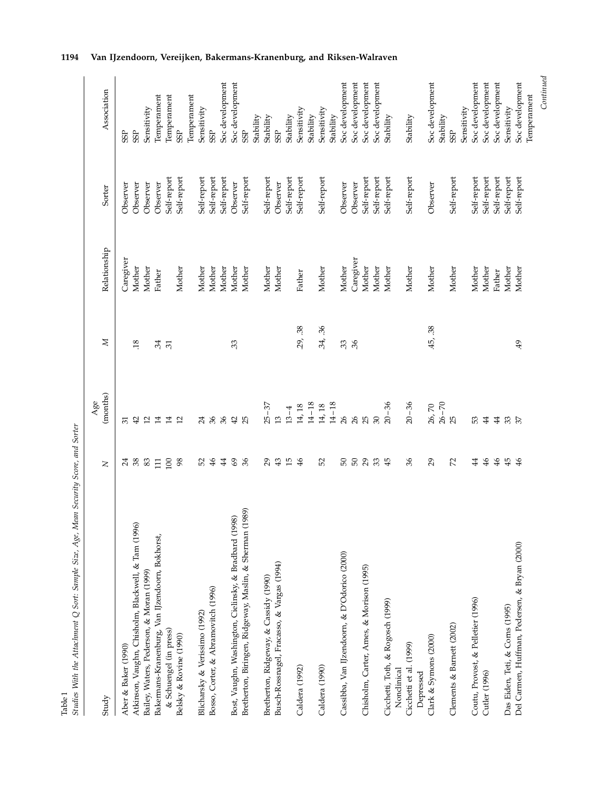| and Sort<br>CHA 1444<br>$A$ $\sigma$ $\rho$ |
|---------------------------------------------|
| - دو اما المال ماه .<br>$\frac{1}{2}$       |
| איש ווי<br>7<br>ļ                           |
| $,$ $\mu_{\alpha}$ .                        |
| Ş<br>Ĭ                                      |

| Study                                                    | $\geq$                      | (months)<br>Age | $\boldsymbol{\mathcal{N}}$ | Relationship | Sorter      | Association     |
|----------------------------------------------------------|-----------------------------|-----------------|----------------------------|--------------|-------------|-----------------|
| Aber & Baker (1990)                                      |                             | $\overline{5}$  |                            | Caregiver    | Observer    | SSP             |
| Atkinson, Vaughn, Chisholm, Blackwell, & Tam (1996)      | 248                         | 42              | .18                        | Mother       | Observer    | SSP             |
| Bailey, Waters, Pederson, & Moran (1999)                 | 83                          | 12              |                            | Mother       | Observer    | Sensitivity     |
| Bakermans-Kranenburg, Van IJzendoorn, Bokhorst,          | 11                          | 14              | 34                         | Father       | Observer    | Temperament     |
| & Schuengel (in press)                                   | 100                         | 14              | $\overline{31}$            |              | Self-report | Temperament     |
| Belsky & Rovine (1990)                                   | 98                          | $\overline{12}$ |                            | Mother       | Self-report | SSP             |
|                                                          |                             |                 |                            |              |             | Temperament     |
| Blicharsky & Verissimo (1992)                            | 52                          | 24              |                            | Mother       | Self-report | Sensitivity     |
| Bosso, Corter, & Abramovitch (1996)                      | $\frac{4}{6}$               | 36              |                            | Mother       | Self-report | <b>SSP</b>      |
|                                                          | $\ddot{4}$                  | 36              |                            | Mother       | Self-report | Soc development |
| Bost, Vaughn, Washington, Cielinsky, & Bradbard (1998)   | $\mathcal{C}$               | 42.5            | 33                         | Mother       | Observer    | Soc development |
| Bretherton, Biringen, Ridgeway, Maslin, & Sherman (1989) | 36                          |                 |                            | Mother       | Self-report | SSP             |
|                                                          |                             |                 |                            |              |             | Stability       |
| Bretherton, Ridgeway, & Cassidy (1990)                   | $\mathcal{L}^{\mathcal{G}}$ | $25 - 37$       |                            | Mother       | Self-report | Stability       |
| Busch-Rossnagel, Fracasso, & Vargas (1994)               | $\ddot{4}$                  | 13              |                            | Mother       | Observer    | SSP             |
|                                                          | 15                          | $13 - 4$        |                            |              | Self-report | Stability       |
| Caldera (1992)                                           | $\frac{4}{6}$               | 14, 18          | .29, .38                   | Father       | Self-report | Sensitivity     |
|                                                          |                             | $14 - 18$       |                            |              |             | Stability       |
| Caldera (1990)                                           | 52                          | 14, 18          | .34, .36                   | Mother       | Self-report | Sensitivity     |
|                                                          |                             | $14 - 18$       |                            |              |             | Stability       |
| Cassibba, Van IJzendoorn, & D'Odorico (2000)             | <u>ន</u> ន                  | $\delta$        | 33                         | Mother       | Observer    | Soc development |
|                                                          |                             | 26              | 36                         | Caregiver    | Observer    | Soc development |
| Chisholm, Carter, Ames, & Morison (1995)                 | $\mathcal{S}$               | 25              |                            | Mother       | Self-report | Soc development |
|                                                          | 33                          | $30\,$          |                            | Mother       | Self-report | Soc development |
| Cicchetti, Toth, & Rogosch (1999)                        | 45                          | $20 - 36$       |                            | Mother       | Self-report | Stability       |
| Nonclinical                                              |                             |                 |                            |              |             |                 |
| Cicchetti et al. (1999)                                  | $\%$                        | $20 - 36$       |                            | Mother       | Self-report | Stability       |
| Depressed                                                |                             |                 |                            |              |             |                 |
| Clark & Symons (2000)                                    | $\mathcal{L}^{\mathcal{O}}$ | 26,70           | 45,38                      | Mother       | Observer    | Soc development |
|                                                          |                             | $26 - 70$       |                            |              |             | Stability       |
| Clements & Barnett (2002)                                | $\mathbb{R}^2$              | 25              |                            | Mother       | Self-report | SSP             |
|                                                          |                             |                 |                            |              |             | Sensitivity     |
| Coutu, Provost, & Pelletier (1996)                       | \$                          | 53              |                            | Mother       | Self-report | Soc development |
| <b>Cutler</b> (1996)                                     | $\frac{4}{6}$               | 44              |                            | Mother       | Self-report | Soc development |
|                                                          | $\frac{4}{6}$               | 44              |                            | Father       | Self-report | Soc development |
| Das Eiden, Teti, & Corns (1995)                          | $\overline{4}$              | 37              |                            | Mother       | Self-report | Sensitivity     |
| Del Carmen, Huffman, Pedersen, & Bryan (2000)            | $\frac{4}{6}$               |                 | 49                         | Mother       | Self-report | Soc development |
|                                                          |                             |                 |                            |              |             | Temperament     |
|                                                          |                             |                 |                            |              |             | Continued       |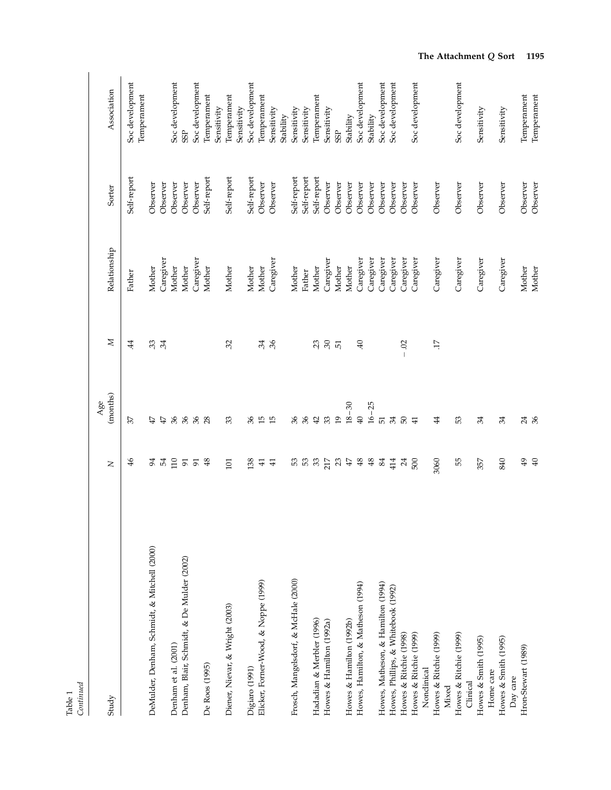| Study                                        | $\geq$         | (months)<br>Age | $\mathbb{N}$    | Relationship | Sorter      | Association                |
|----------------------------------------------|----------------|-----------------|-----------------|--------------|-------------|----------------------------|
|                                              | $\frac{4}{6}$  | 57              | 44              | Father       | Self-report | Soc development            |
| DeMulder, Denham, Schmidt, & Mitchell (2000) | 94             | 47              | 33              | Mother       | Observer    | Temperament                |
|                                              | 54             | 47              | $\ddot{3}$      | Caregiver    | Observer    |                            |
| Denham et al. (2001)                         | 110            | 36              |                 | Mother       | Observer    | Soc development            |
| Denham, Blair, Schmidt, & De Mulder (2002)   | $\overline{9}$ | 36              |                 | Mother       | Observer    | <b>GSP</b>                 |
|                                              | 91             | 36              |                 | Caregiver    | Observer    | Soc development            |
| De Roos (1995)                               | $\frac{48}{5}$ | 28              |                 | Mother       | Self-report | Temperament                |
|                                              |                |                 |                 |              |             | Sensitivity                |
| Diener, Nievar, & Wright (2003)              | 101            | 33              | 32              | Mother       | Self-report | Temperament<br>Sensitivity |
| Digiaro (1991)                               | 138            | 96              |                 | Mother       | Self-report | Soc development            |
| Elicker, Forner-Wood, & Noppe (1999)         | $\overline{+}$ | 15              | 34              | Mother       | Observer    | Temperament                |
|                                              | $\pm$          | 15              | 36              | Caregiver    | Observer    | Sensitivity                |
|                                              |                |                 |                 |              |             | Stability                  |
| Frosch, Mangelsdorf, & McHale (2000)         | S3             | 36              |                 | Mother       | Self-report | Sensitivity                |
|                                              | 53             | 36              |                 | Father       | Self-report | Sensitivity                |
| Hadadian & Merbler (1996)                    | 33             | 42              | 23              | Mother       | Self-report | Temperament                |
| Howes & Hamilton (1992a)                     | 217            | 33              | 30              | Caregiver    | Observer    | Sensitivity                |
|                                              | $\mathfrak{B}$ | 19              | $\overline{51}$ | Mother       | Observer    | SSP                        |
| Howes & Hamilton (1992b)                     | 47             | $18 - 30$       |                 | Mother       | Observer    | Stability                  |
| Howes, Hamilton, & Matheson (1994)           | $48$           | 40              | $\ddot{=}$      | Caregiver    | Observer    | Soc development            |
|                                              | $48$           | $16 - 25$       |                 | Caregiver    | Observer    | Stability                  |
| Howes, Matheson, & Hamilton (1994)           | 84             | 51              |                 | Caregiver    | Observer    | Soc development            |
| Howes, Phillips, & Whitebook (1992)          | 414            | 34              |                 | Caregiver    | Observer    | Soc development            |
| Howes & Ritchie (1998)                       | $\overline{c}$ | 50              | $-0.02$         | Caregiver    | Observer    |                            |
| Howes & Ritchie (1999)                       | 500            | $\overline{41}$ |                 | Caregiver    | Observer    | Soc development            |
| Nonclinical                                  |                |                 |                 |              |             |                            |
| Howes & Ritchie (1999)                       | 3060           | $\overline{4}$  | $\overline{17}$ | Caregiver    | Observer    |                            |
| Mixed                                        |                |                 |                 |              |             |                            |
| Howes & Ritchie (1999)                       | 55             | 53              |                 | Caregiver    | Observer    | Soc development            |
| Clinical                                     |                |                 |                 |              |             |                            |
| Howes & Smith (1995)                         | 357            | 34              |                 | Caregiver    | Observer    | Sensitivity                |
| Home care                                    |                |                 |                 |              |             |                            |
| Howes & Smith (1995)                         | 840            | 34              |                 | Caregiver    | Observer    | Sensitivity                |
| Day care                                     |                |                 |                 |              |             |                            |
| Hron-Stewart (1989)                          | $^{49}$        | $24^{36}$       |                 | Mother       | Observer    | Temperament                |
|                                              | $40$           |                 |                 | Mother       | Observer    | Temperament                |

The Attachment Q Sort 1195

Table 1<br>Continued Continued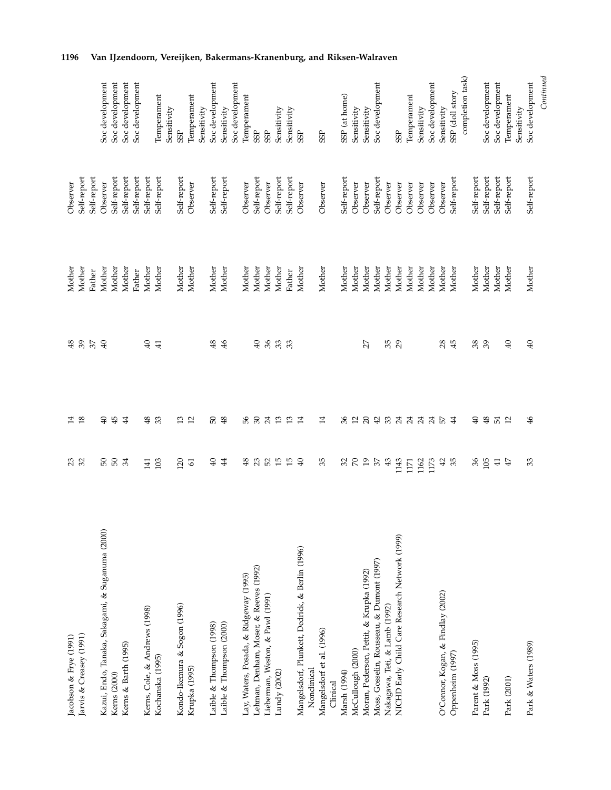| Jacobson & Frye (1991)                                         |                                    | $\vec{1}$       | $\frac{48}{5}$  | Mother | Observer    |                  |
|----------------------------------------------------------------|------------------------------------|-----------------|-----------------|--------|-------------|------------------|
| Jarvis & Creasey (1991)                                        | 38                                 | 18              | $\mathcal{E}$   | Mother | Self-report |                  |
|                                                                |                                    |                 | 37              | Father | Self-report |                  |
| Kazui, Endo, Tanaka, Sakagami, & Suganuma (2000)               |                                    | $\overline{40}$ | $\ddot{=}$      | Mother | Observer    | Soc development  |
| Kerns (2000)                                                   | <b>88</b>                          | 45              |                 | Mother | Self-report | Soc development  |
| Kerns & Barth (1995)                                           | रू                                 | $\frac{4}{3}$   |                 | Mother | Self-report | Soc development  |
|                                                                |                                    |                 |                 | Father | Self-report | Soc development  |
| Kerns, Cole, & Andrews (1998)                                  | 141                                | 48              | $\ddot{=}$      | Mother | Self-report |                  |
| Kochanska (1995)                                               | 103                                | 33              | $\overline{41}$ | Mother | Self-report | Temperament      |
|                                                                |                                    |                 |                 |        |             | Sensitivity      |
| Kondo-Ikemura & Sogon (1996)                                   | 120                                | 13              |                 | Mother | Self-report | SSP              |
| Krupka (1995)                                                  | $\mathfrak{L}% _{A}^{\alpha\beta}$ | 12              |                 | Mother | Observer    | Temperament      |
|                                                                |                                    |                 |                 |        |             | Sensitivity      |
| Laible & Thompson (1998)                                       | $\overline{40}$                    | 50              | 48              | Mother | Self-report | Soc development  |
| Laible & Thompson (2000)                                       | $\ddot{4}$                         | 48              | 46              | Mother | Self-report | Sensitivity      |
|                                                                |                                    |                 |                 |        |             | Soc development  |
| Lay, Waters, Posada, & Ridgeway (1995)                         | $\frac{48}{5}$                     | 66              |                 | Mother | Observer    | Temperament      |
| Lehman, Denham, Moser, & Reeves (1992)                         | 23                                 |                 | 40              | Mother | Self-report | SSP              |
| Lieberman, Weston, & Pawl (1991)                               | 52                                 | 24              | 36              | Mother | Observer    | SSP              |
| Lundy (2002)                                                   | $\overline{15}$                    | 13              | 33              | Mother | Self-report | Sensitivity      |
|                                                                | 15                                 | 13              | 33              | Father | Self-report | Sensitivity      |
| Mangelsdorf, Plunkett, Dedrick, & Berlin (1996)<br>Nonclinical | $\triangleleft$                    | 14              |                 | Mother | Observer    | SSP              |
| Mangelsdorf et al. (1996)<br>Clinical                          | 35                                 | 14              |                 | Mother | Observer    | <b>GSP</b>       |
|                                                                |                                    |                 |                 |        |             |                  |
| Marsh (1994)                                                   | 25                                 | 36              |                 | Mother | Self-report | SSP (at home)    |
| McCullough (2000)                                              | $\mathcal{E}$                      | $\overline{12}$ |                 | Mother | Observer    | Sensitivity      |
| Moran, Pederson, Pettit, & Krupka (1992)                       | $19$                               | 20              | 27              | Mother | Observer    | Sensitivity      |
| Moss, Gosselin, Rousseau, & Dumont (1997)                      | 22                                 | 42              |                 | Mother | Self-report | Soc development  |
| Nakagawa, Teti, & Lamb (1992)                                  | $\mathfrak{S}$                     | 33              | 35              | Mother | Observer    |                  |
| NICHD Early Child Care Research Network (1999)                 | 1143                               |                 | 29              | Mother | Observer    | SSP              |
|                                                                | 1171                               | 2222            |                 | Mother | Observer    | Temperament      |
|                                                                | 1162                               |                 |                 | Mother | Observer    | Sensitivity      |
|                                                                | $1173$                             |                 |                 | Mother | Observer    | Soc development  |
| O'Connor, Kogan, & Findlay (2002)                              | $\overline{4}$                     | 57              | 28              | Mother | Observer    | Sensitivity      |
| Oppenheim (1997)                                               | 35                                 | $\frac{4}{3}$   | 45              | Mother | Self-report | SSP (doll story  |
|                                                                |                                    |                 |                 |        |             | completion task) |
| Parent & Moss (1995)                                           | $\%$                               | $\overline{40}$ | 38.             | Mother | Self-report |                  |
| Park (1992)                                                    | 105                                | 48              | 39              | Mother | Self-report | Soc development  |
|                                                                | $\overline{41}$                    | 54              |                 | Mother | Self-report | Soc development  |
| Park (2001)                                                    | $\ddot{t}$                         | 12              | $\ddot{=}$      | Mother | Self-report | Temperament      |
|                                                                |                                    |                 |                 |        |             | Sensitivity      |
| Park & Waters (1989)                                           | 33                                 | $\frac{46}{5}$  | $\overline{40}$ | Mother | Self-report | Soc development  |
|                                                                |                                    |                 |                 |        |             | Continued        |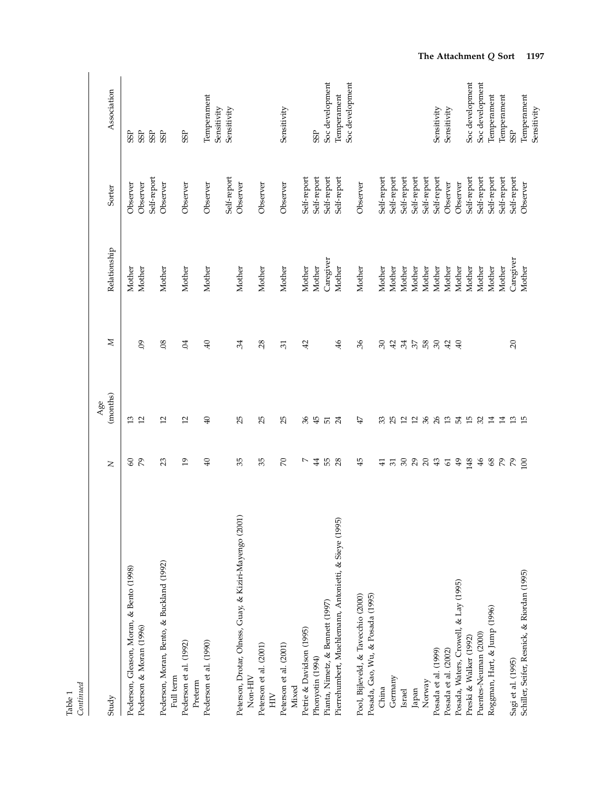| 2011111111111111                                                   |                                             |                 |                 |              |             |                                |
|--------------------------------------------------------------------|---------------------------------------------|-----------------|-----------------|--------------|-------------|--------------------------------|
|                                                                    |                                             | Age             |                 |              |             |                                |
| Study                                                              | $\geq$                                      | (months)        | $\geq$          | Relationship | Sorter      | Association                    |
| Pederson, Gleason, Moran, & Bento (1998)                           | $\infty$                                    | 13              |                 | Mother       | Observer    | SSP                            |
| Pederson & Moran (1996)                                            | $\mathcal{P}$                               | 12              | 60              | Mother       | Observer    | SSP                            |
|                                                                    |                                             |                 |                 |              | Self-report | SSP                            |
| Pederson, Moran, Bento, & Buckland (1992)                          | 23                                          | 12              | $\overline{08}$ | Mother       | Observer    | <b>GSP</b>                     |
| Full term                                                          |                                             |                 |                 |              |             |                                |
| Pederson et al. (1992)<br>Preterm                                  | $\overline{19}$                             | 12              | $\mathfrak{S}$  | Mother       | Observer    | SSP                            |
| Pederson et al. (1990)                                             | $\oplus$                                    | $\overline{40}$ | $\ddot{=}$      | Mother       | Observer    | Temperament                    |
|                                                                    |                                             |                 |                 |              | Self-report | Sensitivity<br>Sensitivity     |
| Peterson, Drotar, Olness, Guay, & Kiziri-Mayengo (2001)<br>Non-HIV | 35                                          | 25              | 34              | Mother       | Observer    |                                |
| Peterson et al. (2001)<br>HIV                                      | 35                                          | 25              | 28              | Mother       | Observer    |                                |
| Peterson et al. (2001)                                             | $\mathcal{R}$                               | 25              | $\ddot{3}$      | Mother       | Observer    | Sensitivity                    |
| Mixed                                                              |                                             |                 |                 |              |             |                                |
| Petrie & Davidson (1995)                                           | Ņ                                           | 36              | 42              | Mother       | Self-report |                                |
| Phonyotin (1994)                                                   | $\ddot{4}$                                  | 45              |                 | Mother       | Self-report | <b>SSP</b>                     |
| Pianta, Nimetz, & Bennett (1997)                                   | 55                                          | 51              |                 | Caregiver    | Self-report | Soc development                |
| Pierrehumbert, Muehlemann, Antonietti, & Sieye (1995)              | 28                                          | $^{24}$         | 46              | Mother       | Self-report | Soc development<br>Temperament |
| Pool, Bijleveld, & Tavecchio (2000)                                | $\ddot{+}$                                  | 47              | 36              | Mother       | Observer    |                                |
| Posada, Gao, Wu, & Posada (1995)                                   |                                             |                 |                 |              |             |                                |
| China                                                              | $\pm$                                       | 33              | $\ddot{c}$      | Mother       | Self-report |                                |
| Germany                                                            | $\begin{smallmatrix}5&8&8\end{smallmatrix}$ | 25              | 42              | Mother       | Self-report |                                |
| Israel                                                             |                                             | 12              | $\ddot{34}$     | Mother       | Self-report |                                |
| Japan                                                              |                                             | 12              | $\ddot{s}$      | Mother       | Self-report |                                |
| Norway                                                             | $\mathcal{S}$                               | 36              | 58 59 42        | Mother       | Self-report |                                |
| Posada et al. (1999)                                               | $\frac{4}{3}$                               | $\frac{26}{5}$  |                 | Mother       | Self-report | Sensitivity                    |
| Posada et al. (2002)                                               | $\mathfrak{S}% _{A}^{\alpha\beta}$          | 13              |                 | Mother       | Observer    | Sensitivity                    |
| Posada, Waters, Crowell, & Lay (1995)                              | $\Phi$                                      | 54              | $\ddot{=}$      | Mother       | Observer    |                                |
| Preski & Walker (1992)                                             | 148                                         | 15              |                 | Mother       | Self-report | Soc development                |
| Puentes-Neuman (2000)                                              | $\frac{4}{6}$                               | 32              |                 | Mother       | Self-report | Soc development                |
| Roggman, Hart, & Jump (1996)                                       | $\mathbf{68}$                               | 14              |                 | Mother       | Self-report | Temperament                    |
|                                                                    | $\mathcal{E}$                               | 14              |                 | Mother       | Self-report | Temperament                    |
| Sagi et al. (1995)                                                 | $\mathcal{E}$                               | $\mathfrak{L}$  | 20              | Caregiver    | Self-report | <b>SSP</b>                     |
| Schiller, Seifer, Resnick, & Riordan (1995)                        | 100                                         | 15              |                 | Mother       | Observer    | Temperament<br>Sensitivity     |
|                                                                    |                                             |                 |                 |              |             |                                |

The Attachment Q Sort 1197

Table 1<br>Continued Continued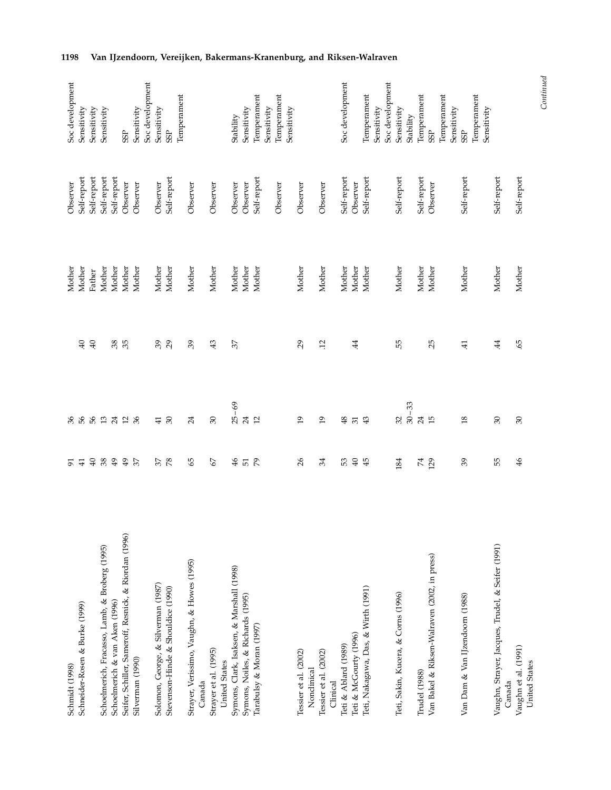| Schmidt (1998)                                              |                 |                 |             |                  |                         |                                               |
|-------------------------------------------------------------|-----------------|-----------------|-------------|------------------|-------------------------|-----------------------------------------------|
| Schneider-Rosen & Burke (1999)                              | $\pm$<br>5      | 56<br>36        | $\ddot{=}$  | Mother<br>Mother | Self-report<br>Observer | Soc development<br>Sensitivity                |
|                                                             | $\overline{40}$ | 99              | 40          | Father           | Self-report             | Sensitivity                                   |
| Schoelmerich, Fracasso, Lamb, & Broberg (1995)              | 38              | $13\,$          |             | Mother           | Self-report             | Sensitivity                                   |
| Schoelmerich & van Aken (1996)                              | $\ddot{e}$      | $^{24}$         | $38$        | Mother           | Self-report             |                                               |
| Seifer, Schiller, Sameroff, Resnick, & Riordan (1996)       | $\Phi$          | 12              | 35          | Mother           | Observer                | SSP                                           |
| Silverman (1990)                                            | $\mathcal{L}$   | 36              |             | Mother           | Observer                | Soc development<br>Sensitivity                |
|                                                             |                 |                 |             |                  |                         |                                               |
| Solomon, George, & Silverman (1987)                         | $\frac{27}{8}$  | $\overline{41}$ | 65          | Mother           | Observer                | Sensitivity                                   |
| Stevenson-Hinde & Shouldice (1990)                          |                 | 30              | 29          | Mother           | Self-report             | Temperament<br>SSP                            |
| Strayer, Verissimo, Vaughn, & Howes (1995)                  | 9               | 24              | 39          | Mother           | Observer                |                                               |
| Canada                                                      |                 |                 |             |                  |                         |                                               |
| Strayer et al. (1995)<br><b>United States</b>               | $\mathcal{Q}$   | $30\,$          | 43          | Mother           | Observer                |                                               |
| Symons, Clark, Isaksen, & Marshall (1998)                   | $\frac{4}{6}$   | $25 - 69$       | $\ddot{c}$  | Mother           | Observer                | Stability                                     |
| Symons, Noiles, & Richards (1995)                           | 51              | 24              |             | Mother           | Observer                | Sensitivity                                   |
|                                                             | $\mathcal{E}$   | 12              |             |                  |                         |                                               |
| Tarabulsy & Moran (1997)                                    |                 |                 |             | Mother           | Self-report             | Temperament<br>Sensitivity                    |
|                                                             |                 |                 |             |                  | Observer                | Temperament                                   |
|                                                             |                 |                 |             |                  |                         | Sensitivity                                   |
| Tessier et al. (2002)                                       | $\frac{26}{5}$  | 19              | 29          | Mother           | Observer                |                                               |
| Nonclinical                                                 |                 |                 |             |                  |                         |                                               |
| Tessier et al. (2002)                                       | 54              | $\overline{19}$ | $\ddot{12}$ | Mother           | Observer                |                                               |
| Clinical                                                    |                 |                 |             |                  |                         |                                               |
| Teti & Ablard (1989)                                        | S3              | 48              |             | Mother           | Self-report             | Soc development                               |
| Teti & McGourty (1996)                                      | $\Theta$        | $\overline{31}$ | $\ddot{4}$  | Mother           | Observer                |                                               |
| Teti, Nakagawa, Das, & Wirth (1991)                         | $\frac{45}{5}$  | 43              |             | Mother           | Self-report             | Soc development<br>Temperament<br>Sensitivity |
|                                                             |                 |                 |             |                  |                         |                                               |
| Teti, Sakin, Kucera, & Corns (1996)                         | 184             | $30 - 33$<br>32 | 55          | Mother           | Self-report             | Sensitivity<br>Stability                      |
| <b>Trudel</b> (1988)                                        | $\mathbb{Z}$    | 24              |             | Mother           | Self-report             | Temperament                                   |
| Van Bakel & Riksen-Walraven (2002, in press)                | 129             | 15              | 25          | Mother           | Observer                | SSP                                           |
|                                                             |                 |                 |             |                  |                         | Temperament<br>Sensitivity                    |
| Van Dam & Van IJzendoorn (1988)                             | $\mathcal{E}$   | $18\,$          | $\pm$       | Mother           | Self-report             | SSP                                           |
|                                                             |                 |                 |             |                  |                         | Temperament<br>Sensitivity                    |
| Vaughn, Strayer, Jacques, Trudel, & Seifer (1991)<br>Canada | 55              | $\mathcal{S}$   | $\ddot{4}$  | Mother           | Self-report             |                                               |
| Vaughn et al. (1991)                                        | $\frac{4}{5}$   | $\mathcal{S}$   | 99.         | Mother           | Self-report             |                                               |
| <b>United States</b>                                        |                 |                 |             |                  |                         |                                               |

 $Continued$ Continued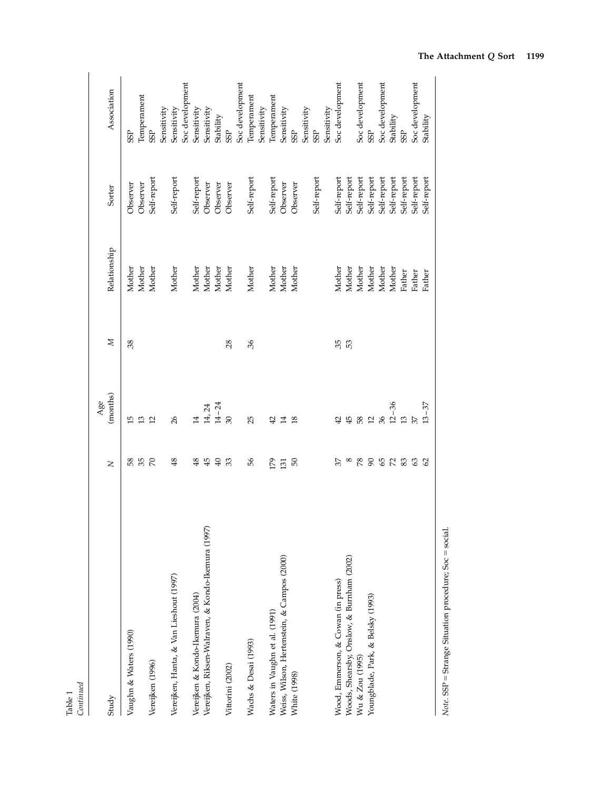| Continued<br>Table 1                                   |                |                 |              |              |             |                 |
|--------------------------------------------------------|----------------|-----------------|--------------|--------------|-------------|-----------------|
| Study                                                  | $\geq$         | (months)<br>Age | $\mathbb{N}$ | Relationship | Sorter      | Association     |
| Vaughn & Waters (1990)                                 |                | 15              | 38           | Mother       | Observer    | <b>SSP</b>      |
|                                                        | 88 a           | $\mathfrak{L}$  |              | Mother       | Observer    | Temperament     |
| Vereijken (1996)                                       | $\mathcal{R}$  | 12              |              | Mother       | Self-report | SSP             |
|                                                        |                |                 |              |              |             | Sensitivity     |
| Vereijken, Hanta, & Van Lieshout (1997)                | $\frac{8}{3}$  | $\delta$        |              | Mother       | Self-report | Sensitivity     |
|                                                        |                |                 |              |              |             | Soc development |
| Vereijken & Kondo-Ikemura (2004)                       | $\frac{48}{5}$ | 14              |              | Mother       | Self-report | Sensitivity     |
| Vereijken, Riksen-Walraven, & Kondo-Ikemura (1997)     | 45             | 14, 24          |              | Mother       | Observer    | Sensitivity     |
|                                                        | $\Theta$       | $14 - 24$       |              | Mother       | Observer    | Stability       |
| Vittorini (2002)                                       | 33             | $30\,$          | 28.          | Mother       | Observer    | SSP             |
|                                                        |                |                 |              |              |             | Soc development |
| Wachs & Desai (1993)                                   | 56             | 25              | 36           | Mother       | Self-report | Temperament     |
|                                                        |                |                 |              |              |             | Sensitivity     |
| Waters in Vaughn et al. (1991)                         | 179            | 42              |              | Mother       | Self-report | Temperament     |
| Weiss, Wilson, Hertenstein, & Campos (2000)            | 131            | 14              |              | Mother       | Observer    | Sensitivity     |
| White (1998)                                           | 50             | 18              |              | Mother       | Observer    | SSP             |
|                                                        |                |                 |              |              |             | Sensitivity     |
|                                                        |                |                 |              |              | Self-report | SSP             |
|                                                        |                |                 |              |              |             | Sensitivity     |
| Wood, Emmerson, & Cowan (in press)                     | 57             | 42              | 55           | Mother       | Self-report | Soc development |
| Woods, Shearsby, Onslow, & Burnham (2002)              | $^{\circ}$     | 45              | 53           | Mother       | Self-report |                 |
| Wu & Zou (1995)                                        | $\%$           | 58              |              | Mother       | Self-report | Soc development |
| Youngblade, Park, & Belsky (1993)                      | 8828           | 12              |              | Mother       | Self-report | SSP             |
|                                                        |                | 36              |              | Mother       | Self-report | Soc development |
|                                                        |                | $12 - 36$       |              | Mother       | Self-report | Stability       |
|                                                        |                | 13              |              | Father       | Self-report | SSP             |
|                                                        | $\mathbb{S}$   | 57              |              | Father       | Self-report | Soc development |
|                                                        | $\mathcal{S}$  | $13 - 37$       |              | Father       | Self-report | Stability       |
| Note. SSP = Strange Situation procedure; Soc = social. |                |                 |              |              |             |                 |

| $50C = 50C$           |
|-----------------------|
|                       |
| prince monocorre<br>i |
| í<br>I                |
| -db-                  |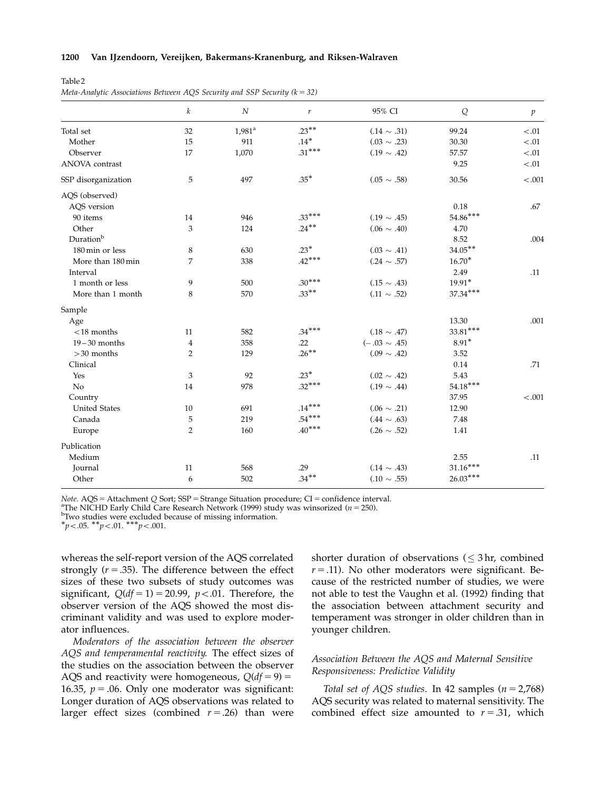| rective thingere those interns between the becausing and both becausing (it |                  |                      |          |                   |                      |                  |
|-----------------------------------------------------------------------------|------------------|----------------------|----------|-------------------|----------------------|------------------|
|                                                                             | $\boldsymbol{k}$ | $\boldsymbol{N}$     | r        | 95% CI            | Q                    | $\boldsymbol{p}$ |
| Total set                                                                   | 32               | $1,981$ <sup>a</sup> | $.23***$ | $(.14 \sim .31)$  | 99.24                | < 0.01           |
| Mother                                                                      | 15               | 911                  | $.14*$   | $(.03 \sim .23)$  | 30.30                | $<.01$           |
| Observer                                                                    | 17               | 1,070                | $.31***$ | $(.19 \sim .42)$  | 57.57                | $<.01$           |
| ANOVA contrast                                                              |                  |                      |          |                   | 9.25                 | < 0.01           |
| SSP disorganization                                                         | 5                | 497                  | $.35*$   | $(.05 \sim .58)$  | 30.56                | $-.001$          |
| AQS (observed)                                                              |                  |                      |          |                   |                      |                  |
| AOS version                                                                 |                  |                      |          |                   | 0.18                 | .67              |
| 90 items                                                                    | 14               | 946                  | $.33***$ | $(.19 \sim .45)$  | $54.86***$           |                  |
| Other                                                                       | 3                | 124                  | $.24***$ | $(.06 \sim .40)$  | 4.70                 |                  |
| Duration <sup>b</sup>                                                       |                  |                      |          |                   | 8.52                 | .004             |
| 180 min or less                                                             | $\,8\,$          | 630                  | $.23*$   | $(.03 \sim .41)$  | ${34.05}^{\ast\ast}$ |                  |
| More than 180 min                                                           | $\overline{7}$   | 338                  | $.42***$ | $(.24 \sim .57)$  | $16.70*$             |                  |
| Interval                                                                    |                  |                      |          |                   | 2.49                 | .11              |
| 1 month or less                                                             | 9                | 500                  | $.30***$ | $(.15 \sim .43)$  | $19.91*$             |                  |
| More than 1 month                                                           | 8                | 570                  | $.33***$ | $(.11 \sim .52)$  | 37.34***             |                  |
| Sample                                                                      |                  |                      |          |                   |                      |                  |
| Age                                                                         |                  |                      |          |                   | 13.30                | .001             |
| $<$ 18 months                                                               | 11               | 582                  | $.34***$ | $(.18 \sim .47)$  | $33.81***$           |                  |
| $19 - 30$ months                                                            | $\overline{4}$   | 358                  | .22      | $(-.03 \sim .45)$ | $8.91*$              |                  |
| $>30$ months                                                                | 2                | 129                  | $.26***$ | $(.09 \sim .42)$  | 3.52                 |                  |
| Clinical                                                                    |                  |                      |          |                   | 0.14                 | .71              |
| Yes                                                                         | 3                | 92                   | $.23*$   | $(.02 \sim .42)$  | 5.43                 |                  |
| No                                                                          | 14               | 978                  | $.32***$ | $(.19 \sim .44)$  | $54.18***$           |                  |
| Country                                                                     |                  |                      |          |                   | 37.95                | $-.001$          |
| <b>United States</b>                                                        | 10               | 691                  | $.14***$ | $(.06 \sim .21)$  | 12.90                |                  |
| Canada                                                                      | 5                | 219                  | $.54***$ | $(.44 \sim .63)$  | 7.48                 |                  |
| Europe                                                                      | $\overline{2}$   | 160                  | $.40***$ | $(.26 \sim .52)$  | 1.41                 |                  |
| Publication                                                                 |                  |                      |          |                   |                      |                  |
| Medium                                                                      |                  |                      |          |                   | 2.55                 | .11              |
| Journal                                                                     | 11               | 568                  | .29      | $(.14 \sim .43)$  | $31.16***$           |                  |
| Other                                                                       | 6                | 502                  | $.34***$ | $(.10 \sim .55)$  | $26.03***$           |                  |

Meta-Analytic Associations Between AOS Security and SSP Security  $(k = 32)$ 

Table 2

Note.  $AQS = Attachment Q Sort$ ; SSP = Strange Situation procedure;  $CI = confidence$  interval.

<sup>a</sup>The NICHD Early Child Care Research Network (1999) study was winsorized ( $n = 250$ ).

<sup>p</sup>Two studies were excluded because of missing information.<br>\* $p < .05$ . \*\* $p < .01$ . \*\*\* $p < .001$ .

whereas the self-report version of the AQS correlated strongly  $(r = .35)$ . The difference between the effect sizes of these two subsets of study outcomes was significant,  $Q(df = 1) = 20.99$ ,  $p < .01$ . Therefore, the observer version of the AQS showed the most discriminant validity and was used to explore moderator influences.

Moderators of the association between the observer AQS and temperamental reactivity. The effect sizes of the studies on the association between the observer AQS and reactivity were homogeneous,  $Q(df = 9) =$ 16.35,  $p = 0.06$ . Only one moderator was significant: Longer duration of AQS observations was related to larger effect sizes (combined  $r = .26$ ) than were

shorter duration of observations ( $\leq$  3 hr, combined  $r = .11$ ). No other moderators were significant. Because of the restricted number of studies, we were not able to test the Vaughn et al. (1992) finding that the association between attachment security and temperament was stronger in older children than in younger children.

## Association Between the AQS and Maternal Sensitive Responsiveness: Predictive Validity

Total set of AQS studies. In 42 samples  $(n = 2,768)$ AQS security was related to maternal sensitivity. The combined effect size amounted to  $r = .31$ , which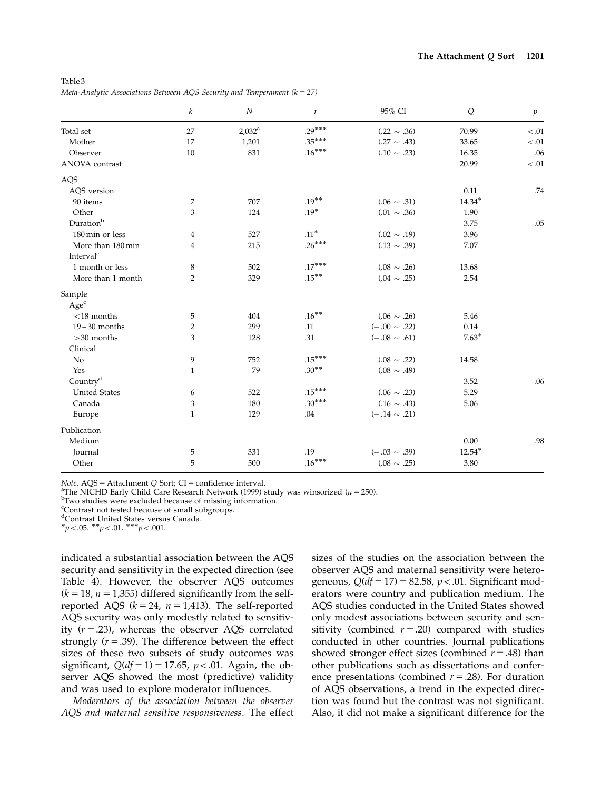|                                            | k              | $\boldsymbol{N}$     | $\boldsymbol{r}$ | 95% CI            | $\cal{Q}$ | $\boldsymbol{p}$ |
|--------------------------------------------|----------------|----------------------|------------------|-------------------|-----------|------------------|
| Total set                                  | 27             | $2,032$ <sup>a</sup> | $.29***$         | $(.22 \sim .36)$  | 70.99     | $-.01$           |
| Mother                                     | 17             | 1,201                | $.35***$         | $(.27 \sim .43)$  | 33.65     | $-.01$           |
| Observer                                   | 10             | 831                  | $.16***$         | $(.10 \sim .23)$  | 16.35     | .06              |
| ANOVA contrast                             |                |                      |                  |                   | 20.99     | $<.01$           |
| AQS                                        |                |                      |                  |                   |           |                  |
| AQS version                                |                |                      |                  |                   | 0.11      | .74              |
| 90 items                                   | 7              | 707                  | $.19***$         | $(.06 \sim .31)$  | $14.34*$  |                  |
| Other                                      | 3              | 124                  | $.19*$           | $(.01 \sim .36)$  | 1.90      |                  |
| Duration <sup>b</sup>                      |                |                      |                  |                   | 3.75      | .05              |
| 180 min or less                            | 4              | 527                  | $.11*$           | $(.02 \sim .19)$  | 3.96      |                  |
| More than 180 min<br>Interval <sup>c</sup> | 4              | 215                  | $.26***$         | $(.13 \sim .39)$  | $7.07\,$  |                  |
| 1 month or less                            | 8              | 502                  | $.17***$         | $(.08 \sim .26)$  | 13.68     |                  |
| More than 1 month                          | $\overline{2}$ | 329                  | $.15***$         | $(.04 \sim .25)$  | 2.54      |                  |
| Sample                                     |                |                      |                  |                   |           |                  |
| $\mathbf{Age}^\mathrm{c}$                  |                |                      |                  |                   |           |                  |
| $<$ 18 months                              | 5              | 404                  | $.16***$         | $(.06 \sim .26)$  | 5.46      |                  |
| $19 - 30$ months                           | $\overline{2}$ | 299                  | .11              | $(-.00 \sim .22)$ | 0.14      |                  |
| $>30$ months                               | 3              | 128                  | .31              | $(-.08 \sim .61)$ | $7.63*$   |                  |
| Clinical                                   |                |                      |                  |                   |           |                  |
| No                                         | 9              | 752                  | $.15***$         | $(.08 \sim .22)$  | 14.58     |                  |
| Yes                                        | $\mathbf{1}$   | 79                   | $.30**$          | $(.08 \sim .49)$  |           |                  |
| Country <sup>d</sup>                       |                |                      |                  |                   | 3.52      | .06              |
| <b>United States</b>                       | 6              | 522                  | $.15***$         | $(.06 \sim .23)$  | 5.29      |                  |
| Canada                                     | 3              | 180                  | $.30***$         | $(.16 \sim .43)$  | 5.06      |                  |
| Europe                                     | $\mathbf{1}$   | 129                  | .04              | $(-.14 \sim .21)$ |           |                  |
| Publication                                |                |                      |                  |                   |           |                  |
| Medium                                     |                |                      |                  |                   | 0.00      | .98              |
| Journal                                    | 5              | 331                  | .19              | $(-.03 \sim .39)$ | $12.54*$  |                  |
| Other                                      | 5              | 500                  | $.16***$         | $(.08 \sim .25)$  | 3.80      |                  |

Table 3 Meta-Analytic Associations Between AQS Security and Temperament  $(k = 27)$ 

Note.  $AQS = Attachment Q Sort; CI = confidence interval.$ 

<sup>a</sup>The NICHD Early Child Care Research Network (1999) study was winsorized ( $n = 250$ ).

<sup>b</sup>Two studies were excluded because of missing information.

c Contrast not tested because of small subgroups.

d Contrast United States versus Canada.

 $\binom{*}{p}$ <.05.  $\binom{*}{p}$ <.01.  $\binom{*}{p}$ <.001.

indicated a substantial association between the AQS security and sensitivity in the expected direction (see Table 4). However, the observer AQS outcomes  $(k = 18, n = 1,355)$  differed significantly from the selfreported AQS ( $k = 24$ ,  $n = 1,413$ ). The self-reported AQS security was only modestly related to sensitivity  $(r = .23)$ , whereas the observer AQS correlated strongly  $(r = .39)$ . The difference between the effect sizes of these two subsets of study outcomes was significant,  $Q(df = 1) = 17.65$ ,  $p < .01$ . Again, the observer AQS showed the most (predictive) validity and was used to explore moderator influences.

Moderators of the association between the observer AQS and maternal sensitive responsiveness. The effect sizes of the studies on the association between the observer AQS and maternal sensitivity were heterogeneous,  $Q(df = 17) = 82.58$ ,  $p < .01$ . Significant moderators were country and publication medium. The AQS studies conducted in the United States showed only modest associations between security and sensitivity (combined  $r = .20$ ) compared with studies conducted in other countries. Journal publications showed stronger effect sizes (combined  $r = .48$ ) than other publications such as dissertations and conference presentations (combined  $r = .28$ ). For duration of AQS observations, a trend in the expected direction was found but the contrast was not significant. Also, it did not make a significant difference for the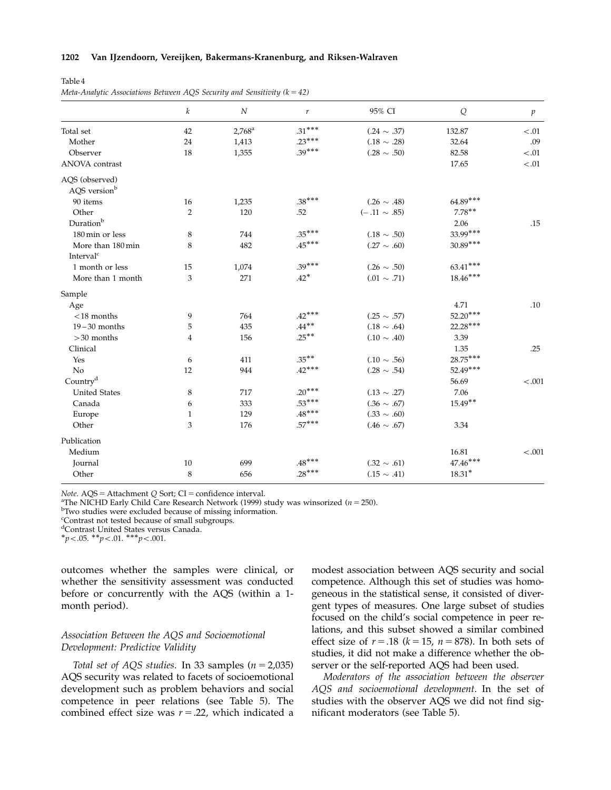#### Table 4 Meta-Analytic Associations Between AQS Security and Sensitivity  $(k = 42)$

|                          | $\boldsymbol{k}$ | $\boldsymbol{N}$ | $\boldsymbol{r}$ | 95% CI            | ${\cal Q}$        | $\boldsymbol{p}$ |
|--------------------------|------------------|------------------|------------------|-------------------|-------------------|------------------|
| Total set                | 42               | $2,768^{\rm a}$  | $.31***$         | $(.24 \sim .37)$  | 132.87            | $-.01$           |
| Mother                   | 24               | 1,413            | $.23***$         | $(.18 \sim .28)$  | 32.64             | .09              |
| Observer                 | 18               | 1,355            | $.39***$         | $(.28 \sim .50)$  | 82.58             | $-.01$           |
| ANOVA contrast           |                  |                  |                  |                   | 17.65             | $<.01$           |
| AQS (observed)           |                  |                  |                  |                   |                   |                  |
| AQS version <sup>b</sup> |                  |                  |                  |                   |                   |                  |
| 90 items                 | 16               | 1,235            | $.38***$         | $(.26 \sim .48)$  | $64.89***$        |                  |
| Other                    | $\overline{2}$   | 120              | .52              | $(-.11 \sim .85)$ | $7.78^{\ast\ast}$ |                  |
| Duration <sup>b</sup>    |                  |                  |                  |                   | 2.06              | .15              |
| 180 min or less          | 8                | 744              | $.35***$         | $(.18 \sim .50)$  | 33.99***          |                  |
| More than 180 min        | 8                | 482              | $.45***$         | $(.27 \sim .60)$  | $30.89***$        |                  |
| Interval <sup>c</sup>    |                  |                  |                  |                   |                   |                  |
| 1 month or less          | 15               | 1,074            | $.39***$         | $(.26 \sim .50)$  | $63.41***$        |                  |
| More than 1 month        | 3                | 271              | $.42*$           | $(.01 \sim .71)$  | $18.46***$        |                  |
| Sample                   |                  |                  |                  |                   |                   |                  |
| Age                      |                  |                  |                  |                   | 4.71              | .10              |
| $<$ 18 months            | 9                | 764              | $.42***$         | $(.25 \sim .57)$  | 52.20***          |                  |
| $19-30$ months           | 5                | 435              | $.44***$         | $(.18 \sim .64)$  | 22.28***          |                  |
| $>30$ months             | 4                | 156              | $.25***$         | $(.10 \sim .40)$  | 3.39              |                  |
| Clinical                 |                  |                  |                  |                   | 1.35              | .25              |
| Yes                      | 6                | 411              | $.35***$         | $(.10 \sim .56)$  | $28.75***$        |                  |
| No                       | 12               | 944              | $.42***$         | $(.28 \sim .54)$  | 52.49***          |                  |
| Country <sup>d</sup>     |                  |                  |                  |                   | 56.69             | $-.001$          |
| <b>United States</b>     | 8                | 717              | $.20***$         | $(.13 \sim .27)$  | 7.06              |                  |
| Canada                   | 6                | 333              | $.53***$         | $(.36 \sim .67)$  | $15.49***$        |                  |
| Europe                   | $\mathbf{1}$     | 129              | $.48***$         | $(.33 \sim .60)$  |                   |                  |
| Other                    | 3                | 176              | $.57***$         | $(.46 \sim .67)$  | 3.34              |                  |
| Publication              |                  |                  |                  |                   |                   |                  |
| Medium                   |                  |                  |                  |                   | 16.81             | $-.001$          |
| Journal                  | 10               | 699              | $.48***$         | $(.32 \sim .61)$  | $47.46***$        |                  |
| Other                    | 8                | 656              | $.28***$         | $(.15 \sim .41)$  | $18.31*$          |                  |

Note.  $AQS = Attachment Q Sort$ ;  $CI = confidence interval$ .

<sup>a</sup>The NICHD Early Child Care Research Network (1999) study was winsorized ( $n = 250$ ).

<sup>b</sup>Two studies were excluded because of missing information.

c Contrast not tested because of small subgroups.

d Contrast United States versus Canada.

\* $p < .05.$  \*\* $p < .01.$  \*\*\* $p < .001.$ 

outcomes whether the samples were clinical, or whether the sensitivity assessment was conducted before or concurrently with the AQS (within a 1 month period).

## Association Between the AQS and Socioemotional Development: Predictive Validity

Total set of AQS studies. In 33 samples  $(n = 2,035)$ AQS security was related to facets of socioemotional development such as problem behaviors and social competence in peer relations (see Table 5). The combined effect size was  $r = .22$ , which indicated a

modest association between AQS security and social competence. Although this set of studies was homogeneous in the statistical sense, it consisted of divergent types of measures. One large subset of studies focused on the child's social competence in peer relations, and this subset showed a similar combined effect size of  $r = .18$  ( $k = 15$ ,  $n = 878$ ). In both sets of studies, it did not make a difference whether the observer or the self-reported AQS had been used.

Moderators of the association between the observer AQS and socioemotional development. In the set of studies with the observer AQS we did not find significant moderators (see Table 5).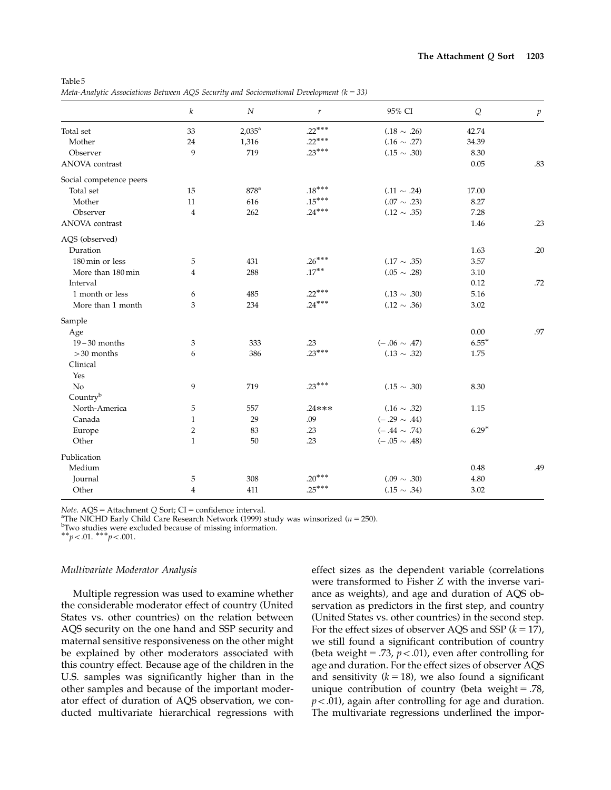|                         | $\boldsymbol{k}$ | $\boldsymbol{N}$ | $\boldsymbol{r}$ | 95% CI            | Q       | $\boldsymbol{p}$ |
|-------------------------|------------------|------------------|------------------|-------------------|---------|------------------|
| Total set               | 33               | $2,035^{\rm a}$  | $.22***$         | $(.18 \sim .26)$  | 42.74   |                  |
| Mother                  | 24               | 1,316            | $.22***$         | $(.16 \sim .27)$  | 34.39   |                  |
| Observer                | 9                | 719              | $.23***$         | $(.15 \sim .30)$  | 8.30    |                  |
| ANOVA contrast          |                  |                  |                  |                   | 0.05    | .83              |
| Social competence peers |                  |                  |                  |                   |         |                  |
| Total set               | 15               | 878 <sup>a</sup> | $.18***$         | $(.11 \sim .24)$  | 17.00   |                  |
| Mother                  | 11               | 616              | $.15***$         | $(.07 \sim .23)$  | 8.27    |                  |
| Observer                | $\overline{4}$   | 262              | $.24***$         | $(.12 \sim .35)$  | 7.28    |                  |
| ANOVA contrast          |                  |                  |                  |                   | 1.46    | .23              |
| AQS (observed)          |                  |                  |                  |                   |         |                  |
| Duration                |                  |                  |                  |                   | 1.63    | .20              |
| 180 min or less         | 5                | 431              | $.26***$         | $(.17 \sim .35)$  | 3.57    |                  |
| More than 180 min       | 4                | 288              | $.17***$         | $(.05 \sim .28)$  | 3.10    |                  |
| Interval                |                  |                  |                  |                   | 0.12    | .72              |
| 1 month or less         | 6                | 485              | $.22***$         | $(.13 \sim .30)$  | 5.16    |                  |
| More than 1 month       | 3                | 234              | $.24***$         | $(.12 \sim .36)$  | 3.02    |                  |
| Sample                  |                  |                  |                  |                   |         |                  |
| Age                     |                  |                  |                  |                   | 0.00    | .97              |
| $19 - 30$ months        | 3                | 333              | .23              | $(-.06 \sim .47)$ | $6.55*$ |                  |
| $>30$ months            | 6                | 386              | $.23***$         | $(.13 \sim .32)$  | 1.75    |                  |
| Clinical                |                  |                  |                  |                   |         |                  |
| Yes                     |                  |                  |                  |                   |         |                  |
| No                      | 9                | 719              | $.23***$         | $(.15 \sim .30)$  | 8.30    |                  |
| Country <sup>b</sup>    |                  |                  |                  |                   |         |                  |
| North-America           | 5                | 557              | $.24***$         | $(.16 \sim .32)$  | 1.15    |                  |
| Canada                  | 1                | 29               | .09              | $(-.29 \sim .44)$ |         |                  |
| Europe                  | $\overline{2}$   | 83               | .23              | $(-.44 \sim .74)$ | $6.29*$ |                  |
| Other                   | 1                | 50               | .23              | $(-.05 \sim .48)$ |         |                  |
| Publication             |                  |                  |                  |                   |         |                  |
| Medium                  |                  |                  |                  |                   | 0.48    | .49              |
| Journal                 | 5                | 308              | $.20***$         | $(.09 \sim .30)$  | 4.80    |                  |
| Other                   | 4                | 411              | $.25***$         | $(.15 \sim .34)$  | 3.02    |                  |

| Table 5                                                                                   |  |
|-------------------------------------------------------------------------------------------|--|
| Meta-Analytic Associations Between AQS Security and Socioemotional Development $(k = 33)$ |  |

Note.  $AQS = Attachment Q Sort$ ;  $CI = confidence interval$ .

<sup>a</sup>The NICHD Early Child Care Research Network (1999) study was winsorized ( $n = 250$ ).

<sup>p</sup>Two studies were excluded because of missing information.<br>\*\*p < .01. \*\*\*p < .001.

#### Multivariate Moderator Analysis

Multiple regression was used to examine whether the considerable moderator effect of country (United States vs. other countries) on the relation between AQS security on the one hand and SSP security and maternal sensitive responsiveness on the other might be explained by other moderators associated with this country effect. Because age of the children in the U.S. samples was significantly higher than in the other samples and because of the important moderator effect of duration of AQS observation, we conducted multivariate hierarchical regressions with

effect sizes as the dependent variable (correlations were transformed to Fisher Z with the inverse variance as weights), and age and duration of AQS observation as predictors in the first step, and country (United States vs. other countries) in the second step. For the effect sizes of observer AQS and SSP  $(k = 17)$ , we still found a significant contribution of country (beta weight = .73,  $p < .01$ ), even after controlling for age and duration. For the effect sizes of observer AQS and sensitivity  $(k = 18)$ , we also found a significant unique contribution of country (beta weight  $= .78$ ,  $p<.01$ ), again after controlling for age and duration. The multivariate regressions underlined the impor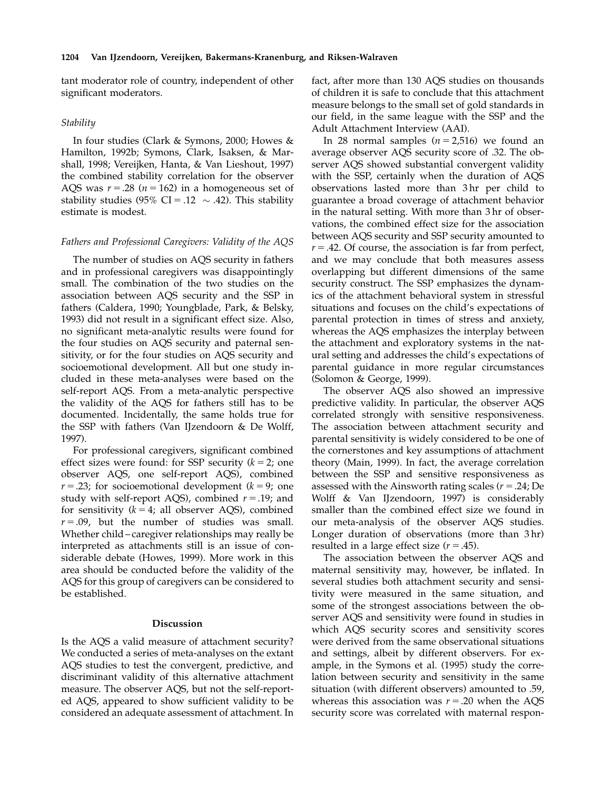tant moderator role of country, independent of other significant moderators.

#### Stability

In four studies (Clark & Symons, 2000; Howes & Hamilton, 1992b; Symons, Clark, Isaksen, & Marshall, 1998; Vereijken, Hanta, & Van Lieshout, 1997) the combined stability correlation for the observer AQS was  $r = .28$  ( $n = 162$ ) in a homogeneous set of stability studies (95% CI = .12  $\sim$  .42). This stability estimate is modest.

#### Fathers and Professional Caregivers: Validity of the AQS

The number of studies on AQS security in fathers and in professional caregivers was disappointingly small. The combination of the two studies on the association between AQS security and the SSP in fathers (Caldera, 1990; Youngblade, Park, & Belsky, 1993) did not result in a significant effect size. Also, no significant meta-analytic results were found for the four studies on AQS security and paternal sensitivity, or for the four studies on AQS security and socioemotional development. All but one study included in these meta-analyses were based on the self-report AQS. From a meta-analytic perspective the validity of the AQS for fathers still has to be documented. Incidentally, the same holds true for the SSP with fathers (Van IJzendoorn & De Wolff, 1997).

For professional caregivers, significant combined effect sizes were found: for SSP security  $(k = 2)$ ; one observer AQS, one self-report AQS), combined  $r = .23$ ; for socioemotional development ( $k = 9$ ; one study with self-report AQS), combined  $r = .19$ ; and for sensitivity  $(k = 4;$  all observer AQS), combined  $r = .09$ , but the number of studies was small. Whether child – caregiver relationships may really be interpreted as attachments still is an issue of considerable debate (Howes, 1999). More work in this area should be conducted before the validity of the AQS for this group of caregivers can be considered to be established.

#### Discussion

Is the AQS a valid measure of attachment security? We conducted a series of meta-analyses on the extant AQS studies to test the convergent, predictive, and discriminant validity of this alternative attachment measure. The observer AQS, but not the self-reported AQS, appeared to show sufficient validity to be considered an adequate assessment of attachment. In

fact, after more than 130 AQS studies on thousands of children it is safe to conclude that this attachment measure belongs to the small set of gold standards in our field, in the same league with the SSP and the Adult Attachment Interview (AAI).

In 28 normal samples  $(n = 2,516)$  we found an average observer AQS security score of .32. The observer AQS showed substantial convergent validity with the SSP, certainly when the duration of AQS observations lasted more than 3 hr per child to guarantee a broad coverage of attachment behavior in the natural setting. With more than 3 hr of observations, the combined effect size for the association between AQS security and SSP security amounted to  $r = .42$ . Of course, the association is far from perfect, and we may conclude that both measures assess overlapping but different dimensions of the same security construct. The SSP emphasizes the dynamics of the attachment behavioral system in stressful situations and focuses on the child's expectations of parental protection in times of stress and anxiety, whereas the AQS emphasizes the interplay between the attachment and exploratory systems in the natural setting and addresses the child's expectations of parental guidance in more regular circumstances (Solomon & George, 1999).

The observer AQS also showed an impressive predictive validity. In particular, the observer AQS correlated strongly with sensitive responsiveness. The association between attachment security and parental sensitivity is widely considered to be one of the cornerstones and key assumptions of attachment theory (Main, 1999). In fact, the average correlation between the SSP and sensitive responsiveness as assessed with the Ainsworth rating scales ( $r = .24$ ; De Wolff & Van IJzendoorn, 1997) is considerably smaller than the combined effect size we found in our meta-analysis of the observer AQS studies. Longer duration of observations (more than 3 hr) resulted in a large effect size  $(r = .45)$ .

The association between the observer AQS and maternal sensitivity may, however, be inflated. In several studies both attachment security and sensitivity were measured in the same situation, and some of the strongest associations between the observer AQS and sensitivity were found in studies in which AQS security scores and sensitivity scores were derived from the same observational situations and settings, albeit by different observers. For example, in the Symons et al. (1995) study the correlation between security and sensitivity in the same situation (with different observers) amounted to .59, whereas this association was  $r = .20$  when the AQS security score was correlated with maternal respon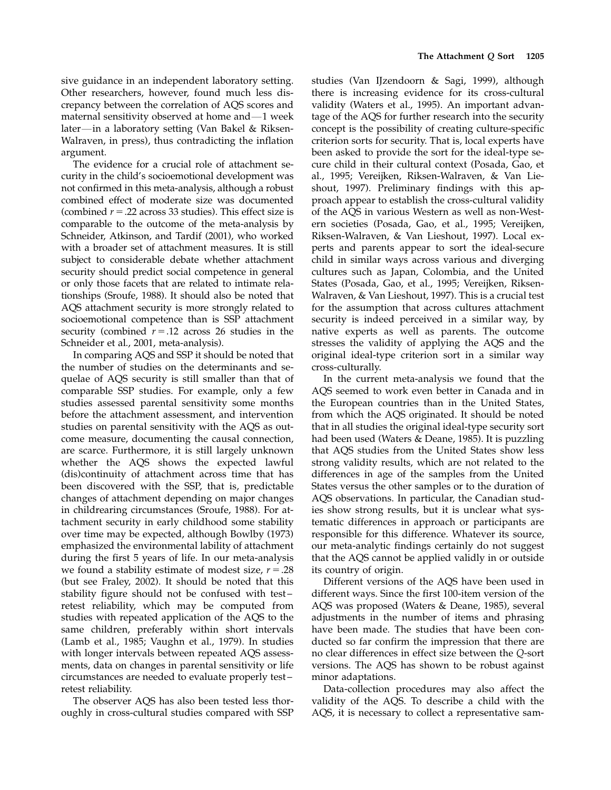sive guidance in an independent laboratory setting. Other researchers, however, found much less discrepancy between the correlation of AQS scores and maternal sensitivity observed at home and $-1$  week later—in a laboratory setting (Van Bakel & Riksen-Walraven, in press), thus contradicting the inflation argument.

The evidence for a crucial role of attachment security in the child's socioemotional development was not confirmed in this meta-analysis, although a robust combined effect of moderate size was documented (combined  $r = 0.22$  across 33 studies). This effect size is comparable to the outcome of the meta-analysis by Schneider, Atkinson, and Tardif (2001), who worked with a broader set of attachment measures. It is still subject to considerable debate whether attachment security should predict social competence in general or only those facets that are related to intimate relationships (Sroufe, 1988). It should also be noted that AQS attachment security is more strongly related to socioemotional competence than is SSP attachment security (combined  $r = .12$  across 26 studies in the Schneider et al., 2001, meta-analysis).

In comparing AQS and SSP it should be noted that the number of studies on the determinants and sequelae of AQS security is still smaller than that of comparable SSP studies. For example, only a few studies assessed parental sensitivity some months before the attachment assessment, and intervention studies on parental sensitivity with the AQS as outcome measure, documenting the causal connection, are scarce. Furthermore, it is still largely unknown whether the AQS shows the expected lawful (dis)continuity of attachment across time that has been discovered with the SSP, that is, predictable changes of attachment depending on major changes in childrearing circumstances (Sroufe, 1988). For attachment security in early childhood some stability over time may be expected, although Bowlby (1973) emphasized the environmental lability of attachment during the first 5 years of life. In our meta-analysis we found a stability estimate of modest size,  $r = .28$ (but see Fraley, 2002). It should be noted that this stability figure should not be confused with test – retest reliability, which may be computed from studies with repeated application of the AQS to the same children, preferably within short intervals (Lamb et al., 1985; Vaughn et al., 1979). In studies with longer intervals between repeated AQS assessments, data on changes in parental sensitivity or life circumstances are needed to evaluate properly test – retest reliability.

The observer AQS has also been tested less thoroughly in cross-cultural studies compared with SSP studies (Van IJzendoorn & Sagi, 1999), although there is increasing evidence for its cross-cultural validity (Waters et al., 1995). An important advantage of the AQS for further research into the security concept is the possibility of creating culture-specific criterion sorts for security. That is, local experts have been asked to provide the sort for the ideal-type secure child in their cultural context (Posada, Gao, et al., 1995; Vereijken, Riksen-Walraven, & Van Lieshout, 1997). Preliminary findings with this approach appear to establish the cross-cultural validity of the AQS in various Western as well as non-Western societies (Posada, Gao, et al., 1995; Vereijken, Riksen-Walraven, & Van Lieshout, 1997). Local experts and parents appear to sort the ideal-secure child in similar ways across various and diverging cultures such as Japan, Colombia, and the United States (Posada, Gao, et al., 1995; Vereijken, Riksen-Walraven, & Van Lieshout, 1997). This is a crucial test for the assumption that across cultures attachment security is indeed perceived in a similar way, by native experts as well as parents. The outcome stresses the validity of applying the AQS and the original ideal-type criterion sort in a similar way cross-culturally.

In the current meta-analysis we found that the AQS seemed to work even better in Canada and in the European countries than in the United States, from which the AQS originated. It should be noted that in all studies the original ideal-type security sort had been used (Waters & Deane, 1985). It is puzzling that AQS studies from the United States show less strong validity results, which are not related to the differences in age of the samples from the United States versus the other samples or to the duration of AQS observations. In particular, the Canadian studies show strong results, but it is unclear what systematic differences in approach or participants are responsible for this difference. Whatever its source, our meta-analytic findings certainly do not suggest that the AQS cannot be applied validly in or outside its country of origin.

Different versions of the AQS have been used in different ways. Since the first 100-item version of the AQS was proposed (Waters & Deane, 1985), several adjustments in the number of items and phrasing have been made. The studies that have been conducted so far confirm the impression that there are no clear differences in effect size between the Q-sort versions. The AQS has shown to be robust against minor adaptations.

Data-collection procedures may also affect the validity of the AQS. To describe a child with the AQS, it is necessary to collect a representative sam-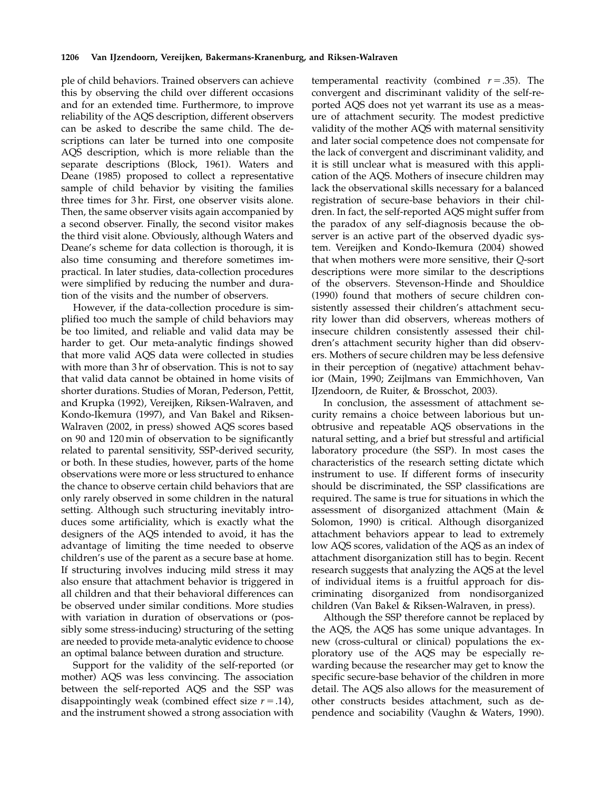ple of child behaviors. Trained observers can achieve this by observing the child over different occasions and for an extended time. Furthermore, to improve reliability of the AQS description, different observers can be asked to describe the same child. The descriptions can later be turned into one composite AQS description, which is more reliable than the separate descriptions (Block, 1961). Waters and Deane (1985) proposed to collect a representative sample of child behavior by visiting the families three times for 3 hr. First, one observer visits alone. Then, the same observer visits again accompanied by a second observer. Finally, the second visitor makes the third visit alone. Obviously, although Waters and Deane's scheme for data collection is thorough, it is also time consuming and therefore sometimes impractical. In later studies, data-collection procedures were simplified by reducing the number and duration of the visits and the number of observers.

However, if the data-collection procedure is simplified too much the sample of child behaviors may be too limited, and reliable and valid data may be harder to get. Our meta-analytic findings showed that more valid AQS data were collected in studies with more than 3 hr of observation. This is not to say that valid data cannot be obtained in home visits of shorter durations. Studies of Moran, Pederson, Pettit, and Krupka (1992), Vereijken, Riksen-Walraven, and Kondo-Ikemura (1997), and Van Bakel and Riksen-Walraven (2002, in press) showed AQS scores based on 90 and 120 min of observation to be significantly related to parental sensitivity, SSP-derived security, or both. In these studies, however, parts of the home observations were more or less structured to enhance the chance to observe certain child behaviors that are only rarely observed in some children in the natural setting. Although such structuring inevitably introduces some artificiality, which is exactly what the designers of the AQS intended to avoid, it has the advantage of limiting the time needed to observe children's use of the parent as a secure base at home. If structuring involves inducing mild stress it may also ensure that attachment behavior is triggered in all children and that their behavioral differences can be observed under similar conditions. More studies with variation in duration of observations or (possibly some stress-inducing) structuring of the setting are needed to provide meta-analytic evidence to choose an optimal balance between duration and structure.

Support for the validity of the self-reported (or mother) AQS was less convincing. The association between the self-reported AQS and the SSP was disappointingly weak (combined effect size  $r = .14$ ), and the instrument showed a strong association with temperamental reactivity (combined  $r = .35$ ). The convergent and discriminant validity of the self-reported AQS does not yet warrant its use as a measure of attachment security. The modest predictive validity of the mother AQS with maternal sensitivity and later social competence does not compensate for the lack of convergent and discriminant validity, and it is still unclear what is measured with this application of the AQS. Mothers of insecure children may lack the observational skills necessary for a balanced registration of secure-base behaviors in their children. In fact, the self-reported AQS might suffer from the paradox of any self-diagnosis because the observer is an active part of the observed dyadic system. Vereijken and Kondo-Ikemura (2004) showed that when mothers were more sensitive, their Q-sort descriptions were more similar to the descriptions of the observers. Stevenson-Hinde and Shouldice (1990) found that mothers of secure children consistently assessed their children's attachment security lower than did observers, whereas mothers of insecure children consistently assessed their children's attachment security higher than did observers. Mothers of secure children may be less defensive in their perception of (negative) attachment behavior (Main, 1990; Zeijlmans van Emmichhoven, Van IJzendoorn, de Ruiter, & Brosschot, 2003).

In conclusion, the assessment of attachment security remains a choice between laborious but unobtrusive and repeatable AQS observations in the natural setting, and a brief but stressful and artificial laboratory procedure (the SSP). In most cases the characteristics of the research setting dictate which instrument to use. If different forms of insecurity should be discriminated, the SSP classifications are required. The same is true for situations in which the assessment of disorganized attachment (Main & Solomon, 1990) is critical. Although disorganized attachment behaviors appear to lead to extremely low AQS scores, validation of the AQS as an index of attachment disorganization still has to begin. Recent research suggests that analyzing the AQS at the level of individual items is a fruitful approach for discriminating disorganized from nondisorganized children (Van Bakel & Riksen-Walraven, in press).

Although the SSP therefore cannot be replaced by the AQS, the AQS has some unique advantages. In new (cross-cultural or clinical) populations the exploratory use of the AQS may be especially rewarding because the researcher may get to know the specific secure-base behavior of the children in more detail. The AQS also allows for the measurement of other constructs besides attachment, such as dependence and sociability (Vaughn & Waters, 1990).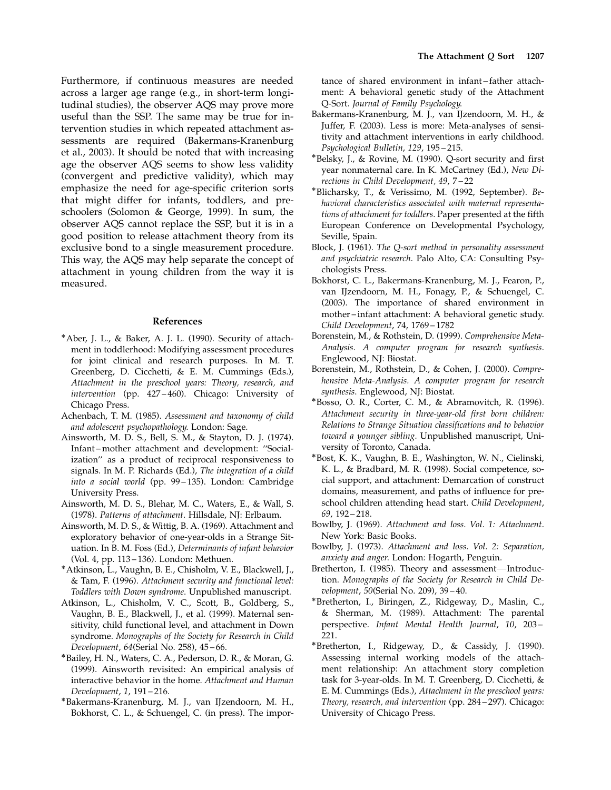Furthermore, if continuous measures are needed across a larger age range (e.g., in short-term longitudinal studies), the observer AQS may prove more useful than the SSP. The same may be true for intervention studies in which repeated attachment assessments are required (Bakermans-Kranenburg et al., 2003). It should be noted that with increasing age the observer AQS seems to show less validity (convergent and predictive validity), which may emphasize the need for age-specific criterion sorts that might differ for infants, toddlers, and preschoolers (Solomon & George, 1999). In sum, the observer AQS cannot replace the SSP, but it is in a good position to release attachment theory from its exclusive bond to a single measurement procedure. This way, the AQS may help separate the concept of attachment in young children from the way it is measured.

#### References

- Aber, J. L., & Baker, A. J. L. (1990). Security of attachment in toddlerhood: Modifying assessment procedures for joint clinical and research purposes. In M. T. Greenberg, D. Cicchetti, & E. M. Cummings (Eds.), Attachment in the preschool years: Theory, research, and intervention (pp. 427-460). Chicago: University of Chicago Press.
- Achenbach, T. M. (1985). Assessment and taxonomy of child and adolescent psychopathology. London: Sage.
- Ainsworth, M. D. S., Bell, S. M., & Stayton, D. J. (1974). Infant – mother attachment and development: ''Socialization'' as a product of reciprocal responsiveness to signals. In M. P. Richards (Ed.), The integration of a child into a social world (pp. 99 – 135). London: Cambridge University Press.
- Ainsworth, M. D. S., Blehar, M. C., Waters, E., & Wall, S. (1978). Patterns of attachment. Hillsdale, NJ: Erlbaum.
- Ainsworth, M. D. S., & Wittig, B. A. (1969). Attachment and exploratory behavior of one-year-olds in a Strange Situation. In B. M. Foss (Ed.), Determinants of infant behavior (Vol. 4, pp. 113 – 136). London: Methuen.<br>\* Atkinson, L., Vaughn, B. E., Chisholm, V. E., Blackwell, J.,
- & Tam, F. (1996). Attachment security and functional level: Toddlers with Down syndrome. Unpublished manuscript.
- Atkinson, L., Chisholm, V. C., Scott, B., Goldberg, S., Vaughn, B. E., Blackwell, J., et al. (1999). Maternal sensitivity, child functional level, and attachment in Down syndrome. Monographs of the Society for Research in Child
- Development, 64(Serial No. 258), 45-66.<br>\*Bailey, H. N., Waters, C. A., Pederson, D. R., & Moran, G. (1999). Ainsworth revisited: An empirical analysis of interactive behavior in the home. Attachment and Human Development, 1, 191 – 216.<br>\*Bakermans-Kranenburg, M. J., van IJzendoorn, M. H.,
- Bokhorst, C. L., & Schuengel, C. (in press). The impor-

tance of shared environment in infant – father attachment: A behavioral genetic study of the Attachment Q-Sort. Journal of Family Psychology.

- Bakermans-Kranenburg, M. J., van IJzendoorn, M. H., & Juffer, F. (2003). Less is more: Meta-analyses of sensitivity and attachment interventions in early childhood. Psychological Bulletin, 129, 195 – 215.<br>\*Belsky, J., & Rovine, M. (1990). Q-sort security and first
- year nonmaternal care. In K. McCartney (Ed.), New Di-
- rections in Child Development, 49, 7–22<br>\*Blicharsky, T., & Verissimo, M. (1992, September). Behavioral characteristics associated with maternal representations of attachment for toddlers. Paper presented at the fifth European Conference on Developmental Psychology, Seville, Spain.
- Block, J. (1961). The Q-sort method in personality assessment and psychiatric research. Palo Alto, CA: Consulting Psychologists Press.
- Bokhorst, C. L., Bakermans-Kranenburg, M. J., Fearon, P., van IJzendoorn, M. H., Fonagy, P., & Schuengel, C. (2003). The importance of shared environment in mother – infant attachment: A behavioral genetic study. Child Development, 74, 1769 – 1782
- Borenstein, M., & Rothstein, D. (1999). Comprehensive Meta-Analysis. A computer program for research synthesis. Englewood, NJ: Biostat.
- Borenstein, M., Rothstein, D., & Cohen, J. (2000). Comprehensive Meta-Analysis. A computer program for research synthesis. Englewood, NJ: Biostat.<br>\*Bosso, O. R., Corter, C. M., & Abramovitch, R. (1996).
- Attachment security in three-year-old first born children: Relations to Strange Situation classifications and to behavior toward a younger sibling. Unpublished manuscript, University of Toronto, Canada.<br>Bost, K. K., Vaughn, B. E., Washington, W. N., Cielinski,
- K. L., & Bradbard, M. R. (1998). Social competence, social support, and attachment: Demarcation of construct domains, measurement, and paths of influence for preschool children attending head start. Child Development, 69, 192 – 218.
- Bowlby, J. (1969). Attachment and loss. Vol. 1: Attachment. New York: Basic Books.
- Bowlby, J. (1973). Attachment and loss. Vol. 2: Separation, anxiety and anger. London: Hogarth, Penguin.
- Bretherton, I. (1985). Theory and assessment-Introduction. Monographs of the Society for Research in Child Development, 50(Serial No. 209), 39-40.<br>\*Bretherton, I., Biringen, Z., Ridgeway, D., Maslin, C.,
- & Sherman, M. (1989). Attachment: The parental perspective. Infant Mental Health Journal, 10, 203-221.<br>\*Bretherton, I., Ridgeway, D., & Cassidy, J. (1990).
- Assessing internal working models of the attachment relationship: An attachment story completion task for 3-year-olds. In M. T. Greenberg, D. Cicchetti, & E. M. Cummings (Eds.), Attachment in the preschool years: Theory, research, and intervention (pp. 284 – 297). Chicago: University of Chicago Press.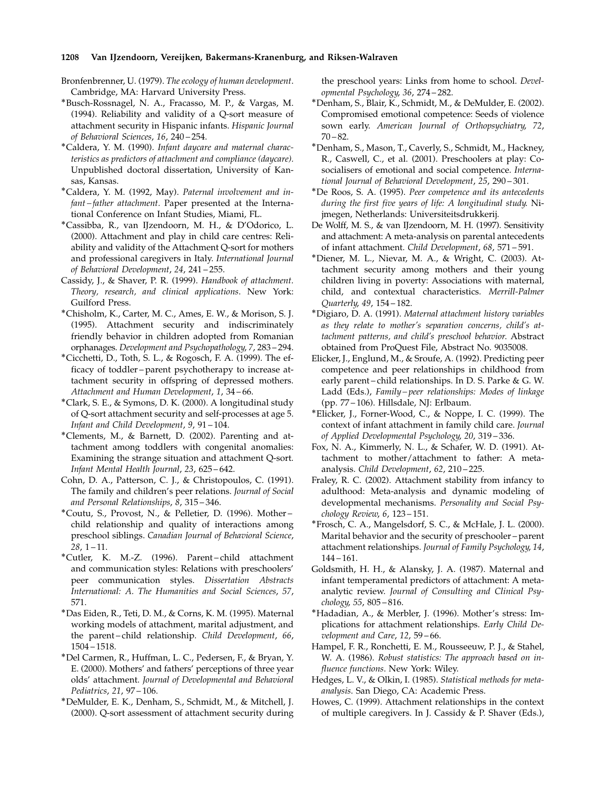- Bronfenbrenner, U. (1979). The ecology of human development. Cambridge, MA: Harvard University Press.<br>\*Busch-Rossnagel, N. A., Fracasso, M. P., & Vargas, M.
- (1994). Reliability and validity of a Q-sort measure of attachment security in Hispanic infants. Hispanic Journal of Behavioral Sciences, 16, 240 – 254.<br>\*Caldera, Y. M. (1990). Infant daycare and maternal charac-
- teristics as predictors of attachment and compliance (daycare). Unpublished doctoral dissertation, University of Kansas, Kansas.<br>\*Caldera, Y. M. (1992, May). Paternal involvement and in-
- fant-father attachment. Paper presented at the International Conference on Infant Studies, Miami, FL.<br>\*Cassibba, R., van IJzendoorn, M. H., & D'Odorico, L.
- (2000). Attachment and play in child care centres: Reliability and validity of the Attachment Q-sort for mothers and professional caregivers in Italy. International Journal of Behavioral Development, 24, 241 – 255.
- Cassidy, J., & Shaver, P. R. (1999). Handbook of attachment. Theory, research, and clinical applications. New York: Guilford Press.<br>\*Chisholm, K., Carter, M. C., Ames, E. W., & Morison, S. J.
- (1995). Attachment security and indiscriminately friendly behavior in children adopted from Romanian orphanages. Development and Psychopathology, 7, 283 – 294.<br>\*Cicchetti, D., Toth, S. L., & Rogosch, F. A. (1999). The ef-
- ficacy of toddler parent psychotherapy to increase attachment security in offspring of depressed mothers.
- Attachment and Human Development, 1, 34–66.<br>\*Clark, S. E., & Symons, D. K. (2000). A longitudinal study of Q-sort attachment security and self-processes at age 5. Infant and Child Development, 9, 91 – 104.<br>\*Clements, M., & Barnett, D. (2002). Parenting and at-
- tachment among toddlers with congenital anomalies: Examining the strange situation and attachment Q-sort. Infant Mental Health Journal, 23, 625 – 642.
- Cohn, D. A., Patterson, C. J., & Christopoulos, C. (1991). The family and children's peer relations. Journal of Social and Personal Relationships, 8, 315–346.<br>\*Coutu, S., Provost, N., & Pelletier, D. (1996). Mother-
- child relationship and quality of interactions among preschool siblings. Canadian Journal of Behavioral Science,  $28$ , 1-11.<br>\*Cutler, K. M.-Z. (1996). Parent-child attachment
- and communication styles: Relations with preschoolers' peer communication styles. Dissertation Abstracts International: A. The Humanities and Social Sciences, 57, 571. Das Eiden, R., Teti, D. M., & Corns, K. M. (1995). Maternal
- working models of attachment, marital adjustment, and the parent – child relationship. Child Development, 66, 1504 – 1518.<br>\* Del Carmen, R., Huffman, L. C., Pedersen, F., & Bryan, Y.
- E. (2000). Mothers' and fathers' perceptions of three year olds' attachment. Journal of Developmental and Behavioral Pediatrics, 21, 97 – 106.<br>\*DeMulder, E. K., Denham, S., Schmidt, M., & Mitchell, J.
- (2000). Q-sort assessment of attachment security during

the preschool years: Links from home to school. Developmental Psychology, 36, 274-282.<br>\*Denham, S., Blair, K., Schmidt, M., & DeMulder, E. (2002).

- Compromised emotional competence: Seeds of violence sown early. American Journal of Orthopsychiatry, 72, 70 – 82. Denham, S., Mason, T., Caverly, S., Schmidt, M., Hackney,
- R., Caswell, C., et al. (2001). Preschoolers at play: Cosocialisers of emotional and social competence. International Journal of Behavioral Development, 25, 290–301.<br>\*De Roos, S. A. (1995). Peer competence and its antecedents
- during the first five years of life: A longitudinal study. Nijmegen, Netherlands: Universiteitsdrukkerij.
- De Wolff, M. S., & van IJzendoorn, M. H. (1997). Sensitivity and attachment: A meta-analysis on parental antecedents of infant attachment. Child Development, 68, 571 – 591.<br>\*Diener, M. L., Nievar, M. A., & Wright, C. (2003). At-
- tachment security among mothers and their young children living in poverty: Associations with maternal, child, and contextual characteristics. Merrill-Palmer Quarterly, 49, 154 – 182.<br>
\*Digiaro, D. A. (1991). Maternal attachment history variables
- as they relate to mother's separation concerns, child's attachment patterns, and child's preschool behavior. Abstract obtained from ProQuest File, Abstract No. 9035008.
- Elicker, J., Englund, M., & Sroufe, A. (1992). Predicting peer competence and peer relationships in childhood from early parent – child relationships. In D. S. Parke & G. W. Ladd (Eds.), Family–peer relationships: Modes of linkage<br>(pp. 77–106). Hillsdale, NJ: Erlbaum.
- \*Elicker, J., Forner-Wood, C., & Noppe, I. C. (1999). The context of infant attachment in family child care. Journal of Applied Developmental Psychology, 20, 319 – 336.
- Fox, N. A., Kimmerly, N. L., & Schafer, W. D. (1991). Attachment to mother/attachment to father: A metaanalysis. Child Development, 62, 210 – 225.
- Fraley, R. C. (2002). Attachment stability from infancy to adulthood: Meta-analysis and dynamic modeling of developmental mechanisms. Personality and Social Psy-
- chology Review, 6, 123 151.<br>\* Frosch, C. A., Mangelsdorf, S. C., & McHale, J. L. (2000). Marital behavior and the security of preschooler – parent attachment relationships. Journal of Family Psychology, 14, 144 – 161.
- Goldsmith, H. H., & Alansky, J. A. (1987). Maternal and infant temperamental predictors of attachment: A metaanalytic review. Journal of Consulting and Clinical Psychology, 55, 805–816.<br>\*Hadadian, A., & Merbler, J. (1996). Mother's stress: Im-
- plications for attachment relationships. Early Child Development and Care, 12, 59-66.
- Hampel, F. R., Ronchetti, E. M., Rousseeuw, P. J., & Stahel, W. A. (1986). Robust statistics: The approach based on influence functions. New York: Wiley.
- Hedges, L. V., & Olkin, I. (1985). Statistical methods for metaanalysis. San Diego, CA: Academic Press.
- Howes, C. (1999). Attachment relationships in the context of multiple caregivers. In J. Cassidy & P. Shaver (Eds.),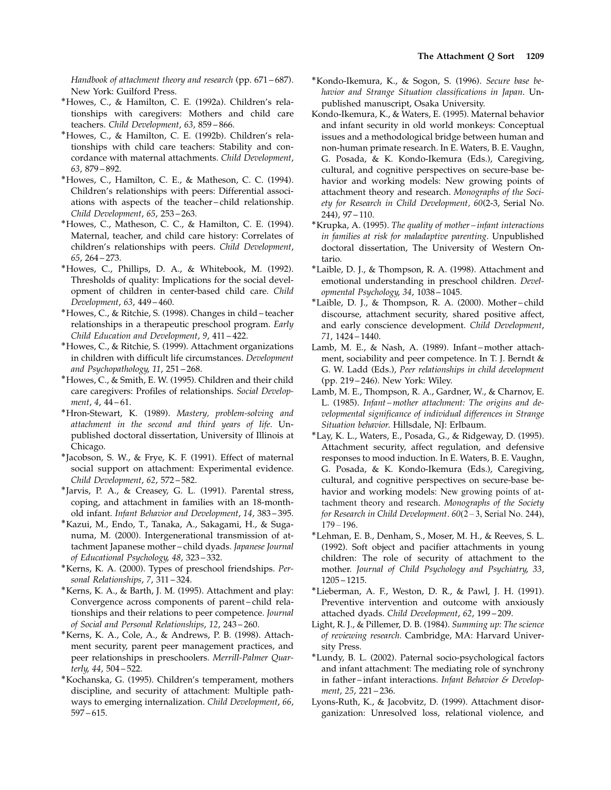Handbook of attachment theory and research (pp. 671–687). New York: Guilford Press.<br>\*Howes, C., & Hamilton, C. E. (1992a). Children's rela-

- tionships with caregivers: Mothers and child care teachers. Child Development, 63, 859-866.<br>\*Howes, C., & Hamilton, C. E. (1992b). Children's rela-
- tionships with child care teachers: Stability and concordance with maternal attachments. Child Development, 63, 879–892.<br>\*Howes, C., Hamilton, C. E., & Matheson, C. C. (1994).
- Children's relationships with peers: Differential associations with aspects of the teacher – child relationship. Child Development, <sup>65</sup>, 253 – 263. Howes, C., Matheson, C. C., & Hamilton, C. E. (1994).
- Maternal, teacher, and child care history: Correlates of children's relationships with peers. Child Development, <sup>65</sup>, 264 – 273. Howes, C., Phillips, D. A., & Whitebook, M. (1992).
- Thresholds of quality: Implications for the social development of children in center-based child care. Child Development, 63, 449 – 460.<br>
\*Howes, C., & Ritchie, S. (1998). Changes in child – teacher
- relationships in a therapeutic preschool program. Early Child Education and Development, 9, 411 – 422.<br>\*Howes, C., & Ritchie, S. (1999). Attachment organizations
- in children with difficult life circumstances. Development and Psychopathology, 11, 251 – 268.<br>\*Howes, C., & Smith, E. W. (1995). Children and their child
- care caregivers: Profiles of relationships. Social Develop-
- ment,  $4$ ,  $44-61$ .<br>\*Hron-Stewart, K. (1989). Mastery, problem-solving and attachment in the second and third years of life. Unpublished doctoral dissertation, University of Illinois at Chicago.<br>\*Jacobson, S. W., & Frye, K. F. (1991). Effect of maternal
- social support on attachment: Experimental evidence. Child Development, 62, 572–582.<br>\*Jarvis, P. A., & Creasey, G. L. (1991). Parental stress,
- coping, and attachment in families with an 18-month-
- old infant. *Infant Behavior and Development*, 14, 383 395.<br>Kazui, M., Endo, T., Tanaka, A., Sakagami, H., & Suganuma, M. (2000). Intergenerational transmission of attachment Japanese mother – child dyads. Japanese Journal of Educational Psychology, 48, 323 – 332.<br>\*Kerns, K. A. (2000). Types of preschool friendships. Per-
- sonal Relationships, 7, 311 324.<br>\*Kerns, K. A., & Barth, J. M. (1995). Attachment and play:
- Convergence across components of parent child relationships and their relations to peer competence. Journal of Social and Personal Relationships, 12, 243-260.<br>\*Kerns, K. A., Cole, A., & Andrews, P. B. (1998). Attach-
- ment security, parent peer management practices, and peer relationships in preschoolers. Merrill-Palmer Quarterly, 44, 504 – 522.<br>\*Kochanska, G. (1995). Children's temperament, mothers
- discipline, and security of attachment: Multiple pathways to emerging internalization. Child Development, 66, 597 – 615.
- Kondo-Ikemura, K., & Sogon, S. (1996). Secure base behavior and Strange Situation classifications in Japan. Unpublished manuscript, Osaka University.
- Kondo-Ikemura, K., & Waters, E. (1995). Maternal behavior and infant security in old world monkeys: Conceptual issues and a methodological bridge between human and non-human primate research. In E. Waters, B. E. Vaughn, G. Posada, & K. Kondo-Ikemura (Eds.), Caregiving, cultural, and cognitive perspectives on secure-base behavior and working models: New growing points of attachment theory and research. Monographs of the Society for Research in Child Development, 60(2-3, Serial No. 244), 97 – 110.<br>Krupka, A. (1995). The quality of mother – infant interactions
- in families at risk for maladaptive parenting. Unpublished doctoral dissertation, The University of Western Ontario.<br>\*Laible, D. J., & Thompson, R. A. (1998). Attachment and
- emotional understanding in preschool children. Developmental Psychology, 34, 1038 – 1045.<br>\*Laible, D. J., & Thompson, R. A. (2000). Mother – child
- discourse, attachment security, shared positive affect, and early conscience development. Child Development, 71, 1424 – 1440.
- Lamb, M. E., & Nash, A. (1989). Infant mother attachment, sociability and peer competence. In T. J. Berndt & G. W. Ladd (Eds.), Peer relationships in child development (pp. 219 – 246). New York: Wiley.
- Lamb, M. E., Thompson, R. A., Gardner, W., & Charnov, E. L. (1985). Infant – mother attachment: The origins and developmental significance of individual differences in Strange
- Situation behavior. Hillsdale, NJ: Erlbaum.<br>\*Lay, K. L., Waters, E., Posada, G., & Ridgeway, D. (1995). Attachment security, affect regulation, and defensive responses to mood induction. In E. Waters, B. E. Vaughn, G. Posada, & K. Kondo-Ikemura (Eds.), Caregiving, cultural, and cognitive perspectives on secure-base behavior and working models: New growing points of attachment theory and research. Monographs of the Society for Research in Child Development.  $60(2-3, Serial No. 244)$ , 179 – 196. Lehman, E. B., Denham, S., Moser, M. H., & Reeves, S. L.
- (1992). Soft object and pacifier attachments in young children: The role of security of attachment to the mother. Journal of Child Psychology and Psychiatry, 33, 1205 – 1215. Lieberman, A. F., Weston, D. R., & Pawl, J. H. (1991).
- Preventive intervention and outcome with anxiously attached dyads. Child Development, 62, 199 – 209.
- Light, R. J., & Pillemer, D. B. (1984). Summing up: The science of reviewing research. Cambridge, MA: Harvard Univer-
- sity Press.<br>\*Lundy, B. L. (2002). Paternal socio-psychological factors and infant attachment: The mediating role of synchrony in father-infant interactions. Infant Behavior & Development, 25, 221 – 236.
- Lyons-Ruth, K., & Jacobvitz, D. (1999). Attachment disorganization: Unresolved loss, relational violence, and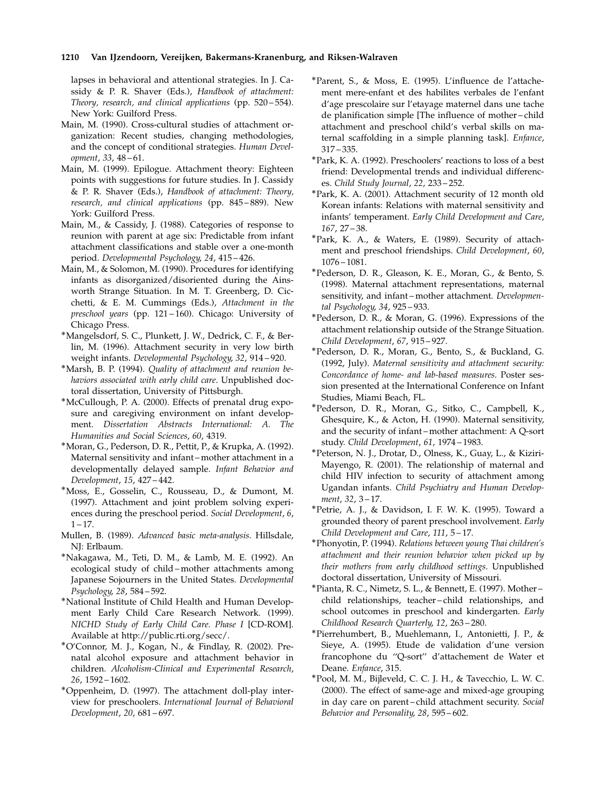lapses in behavioral and attentional strategies. In J. Cassidy & P. R. Shaver (Eds.), Handbook of attachment: Theory, research, and clinical applications (pp. 520–554). New York: Guilford Press.

- Main, M. (1990). Cross-cultural studies of attachment organization: Recent studies, changing methodologies, and the concept of conditional strategies. Human Development, 33, 48 – 61.
- Main, M. (1999). Epilogue. Attachment theory: Eighteen points with suggestions for future studies. In J. Cassidy & P. R. Shaver (Eds.), Handbook of attachment: Theory, research, and clinical applications (pp. 845-889). New York: Guilford Press.
- Main, M., & Cassidy, J. (1988). Categories of response to reunion with parent at age six: Predictable from infant attachment classifications and stable over a one-month period. Developmental Psychology, 24, 415 – 426.
- Main, M., & Solomon, M. (1990). Procedures for identifying infants as disorganized/disoriented during the Ainsworth Strange Situation. In M. T. Greenberg, D. Cicchetti, & E. M. Cummings (Eds.), Attachment in the preschool years (pp. 121 – 160). Chicago: University of Chicago Press.<br>\*Mangelsdorf, S. C., Plunkett, J. W., Dedrick, C. F., & Ber-
- lin, M. (1996). Attachment security in very low birth weight infants. Developmental Psychology, 32, 914-920.<br>\*Marsh, B. P. (1994). Quality of attachment and reunion be-
- haviors associated with early child care. Unpublished doc-
- toral dissertation, University of Pittsburgh. McCullough, P. A. (2000). Effects of prenatal drug exposure and caregiving environment on infant development. Dissertation Abstracts International: A. The Humanities and Social Sciences, 60, 4319.<br>\*Moran, G., Pederson, D. R., Pettit, P., & Krupka, A. (1992).
- Maternal sensitivity and infant mother attachment in a developmentally delayed sample. Infant Behavior and Development, 15, 427 - 442.
- \*Moss, E., Gosselin, C., Rousseau, D., & Dumont, M. (1997). Attachment and joint problem solving experiences during the preschool period. Social Development, 6,  $1 - 17.$
- Mullen, B. (1989). Advanced basic meta-analysis. Hillsdale, NJ: Erlbaum.<br>\*Nakagawa, M., Teti, D. M., & Lamb, M. E. (1992). An
- ecological study of child mother attachments among Japanese Sojourners in the United States. Developmental
- Psychology, 28, 584–592.<br>\*National Institute of Child Health and Human Development Early Child Care Research Network. (1999). NICHD Study of Early Child Care. Phase I [CD-ROM]. Available at http://public.rti.org/secc/.<br>\*O'Connor, M. J., Kogan, N., & Findlay, R. (2002). Pre-
- natal alcohol exposure and attachment behavior in children. Alcoholism-Clinical and Experimental Research,
- 26, 1592 1602.<br>\*Oppenheim, D. (1997). The attachment doll-play interview for preschoolers. International Journal of Behavioral Development, 20, 681 – 697.
- Parent, S., & Moss, E. (1995). L'influence de l'attachement mere-enfant et des habilites verbales de l'enfant d'age prescolaire sur l'etayage maternel dans une tache de planification simple [The influence of mother – child attachment and preschool child's verbal skills on maternal scaffolding in a simple planning task]. Enfance, 317 – 335. Park, K. A. (1992). Preschoolers' reactions to loss of a best
- friend: Developmental trends and individual differences. Child Study Journal, 22, 233 – 252.<br>\*Park, K. A. (2001). Attachment security of 12 month old
- Korean infants: Relations with maternal sensitivity and infants' temperament. Early Child Development and Care, 167, 27 – 38.<br>\*Park, K. A., & Waters, E. (1989). Security of attach-
- ment and preschool friendships. Child Development, 60, 1076 – 1081.<br>\*Pederson, D. R., Gleason, K. E., Moran, G., & Bento, S.
- (1998). Maternal attachment representations, maternal sensitivity, and infant-mother attachment. Developmen-
- tal Psychology, 34, 925 933.<br>\*Pederson, D. R., & Moran, G. (1996). Expressions of the attachment relationship outside of the Strange Situation. Child Development, 67, 915–927.<br>\*Pederson, D. R., Moran, G., Bento, S., & Buckland, G.
- (1992, July). Maternal sensitivity and attachment security: Concordance of home- and lab-based measures. Poster session presented at the International Conference on Infant
- Studies, Miami Beach, FL.<br>\*Pederson, D. R., Moran, G., Sitko, C., Campbell, K., Ghesquire, K., & Acton, H. (1990). Maternal sensitivity, and the security of infant – mother attachment: A Q-sort
- study. Child Development, 61, 1974-1983.<br>\*Peterson, N. J., Drotar, D., Olness, K., Guay, L., & Kiziri-Mayengo, R. (2001). The relationship of maternal and child HIV infection to security of attachment among Ugandan infants. Child Psychiatry and Human Develop-
- ment, 32, 3-17.<br>\*Petrie, A. J., & Davidson, I. F. W. K. (1995). Toward a grounded theory of parent preschool involvement. Early
- Child Development and Care, 111, 5-17.<br>\*Phonyotin, P. (1994). Relations between young Thai children's attachment and their reunion behavior when picked up by their mothers from early childhood settings. Unpublished
- doctoral dissertation, University of Missouri.<br>\*Pianta, R. C., Nimetz, S. L., & Bennett, E. (1997). Mother child relationships, teacher – child relationships, and school outcomes in preschool and kindergarten. Early
- Childhood Research Quarterly, 12, 263-280.<br>\*Pierrehumbert, B., Muehlemann, I., Antonietti, J. P., & Sieye, A. (1995). Etude de validation d'une version francophone du ''Q-sort'' d'attachement de Water et
- Deane. *Enfance,* 315.<br>\*Pool, M. M., Bijleveld, C. C. J. H., & Tavecchio, L. W. C. (2000). The effect of same-age and mixed-age grouping in day care on parent – child attachment security. Social Behavior and Personality, 28, 595 – 602.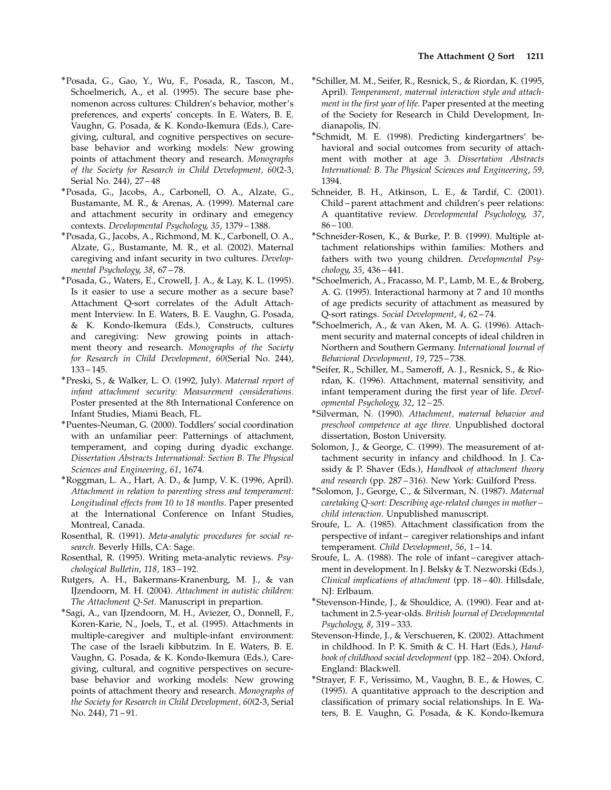- Posada, G., Gao, Y., Wu, F., Posada, R., Tascon, M., Schoelmerich, A., et al. (1995). The secure base phenomenon across cultures: Children's behavior, mother's preferences, and experts' concepts. In E. Waters, B. E. Vaughn, G. Posada, & K. Kondo-Ikemura (Eds.), Caregiving, cultural, and cognitive perspectives on securebase behavior and working models: New growing points of attachment theory and research. Monographs of the Society for Research in Child Development, 60(2-3,
- Serial No. 244), 27–48<br>\*Posada, G., Jacobs, A., Carbonell, O. A., Alzate, G., Bustamante, M. R., & Arenas, A. (1999). Maternal care and attachment security in ordinary and emegency contexts. Developmental Psychology, 35, 1379 – 1388.<br>\*Posada, G., Jacobs, A., Richmond, M. K., Carbonell, O. A.,
- Alzate, G., Bustamante, M. R., et al. (2002). Maternal caregiving and infant security in two cultures. Developmental Psychology, 38, 67-78.<br>\*Posada, G., Waters, E., Crowell, J. A., & Lay, K. L. (1995).
- Is it easier to use a secure mother as a secure base? Attachment Q-sort correlates of the Adult Attachment Interview. In E. Waters, B. E. Vaughn, G. Posada, & K. Kondo-Ikemura (Eds.), Constructs, cultures and caregiving: New growing points in attachment theory and research. Monographs of the Society for Research in Child Development, 60(Serial No. 244), 133 – 145.<br>\* Preski, S., & Walker, L. O. (1992, July). Maternal report of
- infant attachment security: Measurement considerations. Poster presented at the 8th International Conference on Infant Studies, Miami Beach, FL.<br>\*Puentes-Neuman, G. (2000). Toddlers' social coordination
- with an unfamiliar peer: Patternings of attachment, temperament, and coping during dyadic exchange. Dissertation Abstracts International: Section B. The Physical Sciences and Engineering, 61, 1674.<br>\*Roggman, L. A., Hart, A. D., & Jump, V. K. (1996, April).
- Attachment in relation to parenting stress and temperament: Longitudinal effects from 10 to 18 months. Paper presented at the International Conference on Infant Studies, Montreal, Canada.
- Rosenthal, R. (1991). Meta-analytic procedures for social research. Beverly Hills, CA: Sage.
- Rosenthal, R. (1995). Writing meta-analytic reviews. Psychological Bulletin, 118, 183 – 192.
- Rutgers, A. H., Bakermans-Kranenburg, M. J., & van IJzendoorn, M. H. (2004). Attachment in autistic children: The Attachment Q-Set. Manuscript in prepartion.<br>\*Sagi, A., van IJzendoorn, M. H., Aviezer, O., Donnell, F.,
- Koren-Karie, N., Joels, T., et al. (1995). Attachments in multiple-caregiver and multiple-infant environment: The case of the Israeli kibbutzim. In E. Waters, B. E. Vaughn, G. Posada, & K. Kondo-Ikemura (Eds.), Caregiving, cultural, and cognitive perspectives on securebase behavior and working models: New growing points of attachment theory and research. Monographs of the Society for Research in Child Development, 60(2-3, Serial No. 244), 71 – 91.
- Schiller, M. M., Seifer, R., Resnick, S., & Riordan, K. (1995, April). Temperament, maternal interaction style and attachment in the first year of life. Paper presented at the meeting of the Society for Research in Child Development, Indianapolis, IN.<br>\*Schmidt, M. E. (1998). Predicting kindergartners' be-
- havioral and social outcomes from security of attachment with mother at age 3. Dissertation Abstracts International: B. The Physical Sciences and Engineering, 59, 1394.
- Schneider, B. H., Atkinson, L. E., & Tardif, C. (2001). Child – parent attachment and children's peer relations: A quantitative review. Developmental Psychology, 37, 86 – 100.<br>\*Schneider-Rosen, K., & Burke, P. B. (1999). Multiple at-
- tachment relationships within families: Mothers and fathers with two young children. Developmental Psychology, 35, 436 – 441.<br>\*Schoelmerich, A., Fracasso, M. P., Lamb, M. E., & Broberg,
- A. G. (1995). Interactional harmony at 7 and 10 months of age predicts security of attachment as measured by Q-sort ratings. Social Development, 4, 62-74.<br>\*Schoelmerich, A., & van Aken, M. A. G. (1996). Attach-
- ment security and maternal concepts of ideal children in Northern and Southern Germany. International Journal of<br>Behavioral Development, 19, 725 - 738.
- \*Seifer, R., Schiller, M., Sameroff, A. J., Resnick, S., & Riordan, K. (1996). Attachment, maternal sensitivity, and infant temperament during the first year of life. Devel-
- opmental Psychology, 32, 12–25.<br>\*Silverman, N. (1990). Attachment, maternal behavior and preschool competence at age three. Unpublished doctoral dissertation, Boston University.
- Solomon, J., & George, C. (1999). The measurement of attachment security in infancy and childhood. In J. Cassidy & P. Shaver (Eds.), Handbook of attachment theory
- and research (pp. 287-316). New York: Guilford Press.<br>\*Solomon, J., George, C., & Silverman, N. (1987). Maternal caretaking Q-sort: Describing age-related changes in mother – child interaction. Unpublished manuscript.
- Sroufe, L. A. (1985). Attachment classification from the perspective of infant – caregiver relationships and infant temperament. Child Development, 56, 1-14.
- Sroufe, L. A. (1988). The role of infant caregiver attachment in development. In J. Belsky & T. Nezworski (Eds.), Clinical implications of attachment (pp. 18 – 40). Hillsdale, NJ: Erlbaum.<br>\*Stevenson-Hinde, J., & Shouldice, A. (1990). Fear and at-
- tachment in 2.5-year-olds. British Journal of Developmental Psychology, 8, 319 – 333.
- Stevenson-Hinde, J., & Verschueren, K. (2002). Attachment in childhood. In P. K. Smith & C. H. Hart (Eds.), Handbook of childhood social development (pp. 182 – 204). Oxford, England: Blackwell.<br>\*Strayer, F. F., Verissimo, M., Vaughn, B. E., & Howes, C.
- (1995). A quantitative approach to the description and classification of primary social relationships. In E. Waters, B. E. Vaughn, G. Posada, & K. Kondo-Ikemura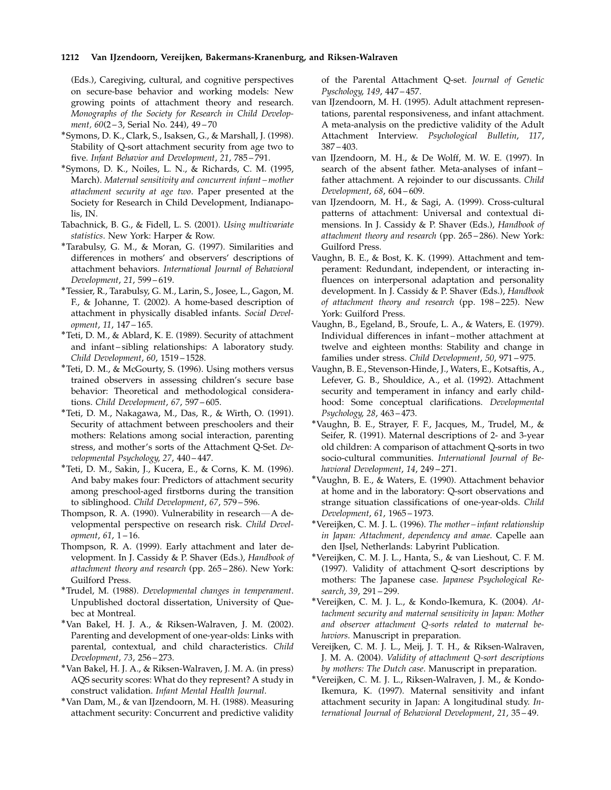(Eds.), Caregiving, cultural, and cognitive perspectives on secure-base behavior and working models: New growing points of attachment theory and research. Monographs of the Society for Research in Child Development, 60(2–3, Serial No. 244), 49–70<br>\*Symons, D. K., Clark, S., Isaksen, G., & Marshall, J. (1998).

- Stability of Q-sort attachment security from age two to five. Infant Behavior and Development, 21, 785-791.<br>\*Symons, D. K., Noiles, L. N., & Richards, C. M. (1995,
- March). Maternal sensitivity and concurrent infant mother attachment security at age two. Paper presented at the Society for Research in Child Development, Indianapolis, IN.
- Tabachnick, B. G., & Fidell, L. S. (2001). Using multivariate
- statistics. New York: Harper & Row.<br>\*Tarabulsy, G. M., & Moran, G. (1997). Similarities and differences in mothers' and observers' descriptions of attachment behaviors. International Journal of Behavioral
- Development, 21, 599 619.<br>\*Tessier, R., Tarabulsy, G. M., Larin, S., Josee, L., Gagon, M. F., & Johanne, T. (2002). A home-based description of attachment in physically disabled infants. Social Development, 11, 147 – 165.<br>\*Teti, D. M., & Ablard, K. E. (1989). Security of attachment
- and infant sibling relationships: A laboratory study.
- Child Development, 60, 1519 1528.<br>\*Teti, D. M., & McGourty, S. (1996). Using mothers versus trained observers in assessing children's secure base behavior: Theoretical and methodological considerations. Child Development, 67, 597–605.<br>\*Teti, D. M., Nakagawa, M., Das, R., & Wirth, O. (1991).
- Security of attachment between preschoolers and their mothers: Relations among social interaction, parenting stress, and mother's sorts of the Attachment Q-Set. Developmental Psychology, 27, 440–447.<br>\*Teti, D. M., Sakin, J., Kucera, E., & Corns, K. M. (1996).
- And baby makes four: Predictors of attachment security among preschool-aged firstborns during the transition to siblinghood. Child Development, 67, 579 – 596.
- Thompson, R. A. (1990). Vulnerability in research $-A$  developmental perspective on research risk. Child Development, 61, 1 – 16.
- Thompson, R. A. (1999). Early attachment and later development. In J. Cassidy & P. Shaver (Eds.), Handbook of attachment theory and research (pp. 265 – 286). New York: Guilford Press.<br>\*Trudel, M. (1988). Developmental changes in temperament.
- Unpublished doctoral dissertation, University of Quebec at Montreal.<br>\*Van Bakel, H. J. A., & Riksen-Walraven, J. M. (2002).
- Parenting and development of one-year-olds: Links with parental, contextual, and child characteristics. Child Development, 73, 256–273.<br>\*Van Bakel, H. J. A., & Riksen-Walraven, J. M. A. (in press)
- AQS security scores: What do they represent? A study in
- construct validation. Infant Mental Health Journal.<br>\*Van Dam, M., & van IJzendoorn, M. H. (1988). Measuring attachment security: Concurrent and predictive validity

of the Parental Attachment Q-set. Journal of Genetic Pyschology, 149, 447 – 457.

- van IJzendoorn, M. H. (1995). Adult attachment representations, parental responsiveness, and infant attachment. A meta-analysis on the predictive validity of the Adult Attachment Interview. Psychological Bulletin, 117, 387 – 403.
- van IJzendoorn, M. H., & De Wolff, M. W. E. (1997). In search of the absent father. Meta-analyses of infant – father attachment. A rejoinder to our discussants. Child Development, 68, 604 – 609.
- van IJzendoorn, M. H., & Sagi, A. (1999). Cross-cultural patterns of attachment: Universal and contextual dimensions. In J. Cassidy & P. Shaver (Eds.), Handbook of attachment theory and research (pp. 265 – 286). New York: Guilford Press.
- Vaughn, B. E., & Bost, K. K. (1999). Attachment and temperament: Redundant, independent, or interacting influences on interpersonal adaptation and personality development. In J. Cassidy & P. Shaver (Eds.), Handbook of attachment theory and research (pp. 198–225). New York: Guilford Press.
- Vaughn, B., Egeland, B., Sroufe, L. A., & Waters, E. (1979). Individual differences in infant – mother attachment at twelve and eighteen months: Stability and change in families under stress. Child Development, 50, 971 – 975.
- Vaughn, B. E., Stevenson-Hinde, J., Waters, E., Kotsaftis, A., Lefever, G. B., Shouldice, A., et al. (1992). Attachment security and temperament in infancy and early childhood: Some conceptual clarifications. Developmental
- Psychology, 28, 463–473.<br>Naughn, B. E., Strayer, F. F., Jacques, M., Trudel, M., & Seifer, R. (1991). Maternal descriptions of 2- and 3-year old children: A comparison of attachment Q-sorts in two socio-cultural communities. International Journal of Be-
- havioral Development, 14, 249-271.<br>\*Vaughn, B. E., & Waters, E. (1990). Attachment behavior at home and in the laboratory: Q-sort observations and strange situation classifications of one-year-olds. Child
- Development, 61, 1965 1973.<br>\*Vereijken, C. M. J. L. (1996). The mother infant relationship in Japan: Attachment, dependency and amae. Capelle aan
- den IJsel, Netherlands: Labyrint Publication.<br>\*Vereijken, C. M. J. L., Hanta, S., & van Lieshout, C. F. M. (1997). Validity of attachment Q-sort descriptions by mothers: The Japanese case. Japanese Psychological Re-
- search, 39, 291 299.<br>\*Vereijken, C. M. J. L., & Kondo-Ikemura, K. (2004). Attachment security and maternal sensitivity in Japan: Mother and observer attachment Q-sorts related to maternal behaviors. Manuscript in preparation.
- Vereijken, C. M. J. L., Meij, J. T. H., & Riksen-Walraven, J. M. A. (2004). Validity of attachment Q-sort descriptions by mothers: The Dutch case. Manuscript in preparation.<br>\*Vereijken, C. M. J. L., Riksen-Walraven, J. M., & Kondo-
- Ikemura, K. (1997). Maternal sensitivity and infant attachment security in Japan: A longitudinal study. International Journal of Behavioral Development, 21, 35 – 49.